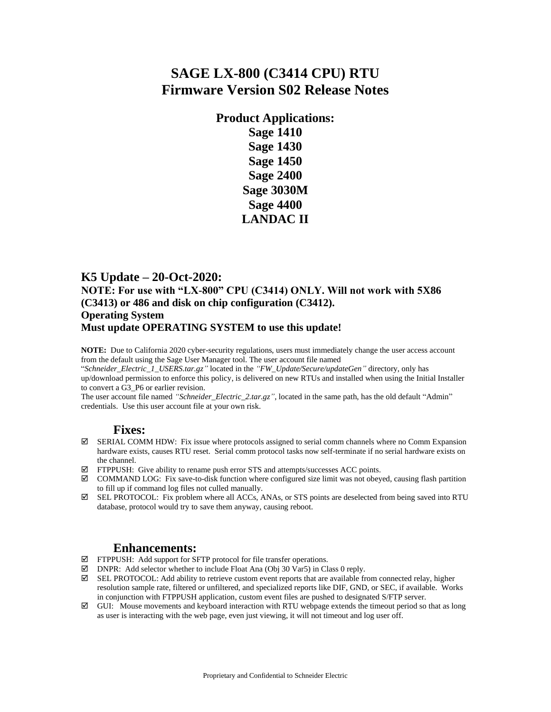# **SAGE LX-800 (C3414 CPU) RTU Firmware Version S02 Release Notes**

**Product Applications: Sage 1410 Sage 1430 Sage 1450 Sage 2400 Sage 3030M Sage 4400 LANDAC II**

#### **K5 Update – 20-Oct-2020:**

#### **NOTE: For use with "LX-800" CPU (C3414) ONLY. Will not work with 5X86 (C3413) or 486 and disk on chip configuration (C3412). Operating System**

#### **Must update OPERATING SYSTEM to use this update!**

**NOTE:** Due to California 2020 cyber-security regulations, users must immediately change the user access account from the default using the Sage User Manager tool. The user account file named

"*Schneider\_Electric\_1\_USERS.tar.gz"* located in the *"FW\_Update/Secure/updateGen"* directory, only has up/download permission to enforce this policy, is delivered on new RTUs and installed when using the Initial Installer to convert a G3\_P6 or earlier revision.

The user account file named *"Schneider\_Electric\_2.tar.gz"*, located in the same path, has the old default "Admin" credentials. Use this user account file at your own risk.

#### **Fixes:**

- $\boxtimes$  SERIAL COMM HDW: Fix issue where protocols assigned to serial comm channels where no Comm Expansion hardware exists, causes RTU reset. Serial comm protocol tasks now self-terminate if no serial hardware exists on the channel.
- $\boxtimes$  FTPPUSH: Give ability to rename push error STS and attempts/successes ACC points.
- $\boxtimes$  COMMAND LOG: Fix save-to-disk function where configured size limit was not obeyed, causing flash partition to fill up if command log files not culled manually.
- SEL PROTOCOL: Fix problem where all ACCs, ANAs, or STS points are deselected from being saved into RTU database, protocol would try to save them anyway, causing reboot.

#### **Enhancements:**

- FTPPUSH: Add support for SFTP protocol for file transfer operations.
- $\boxtimes$  DNPR: Add selector whether to include Float Ana (Obj 30 Var5) in Class 0 reply.
- SEL PROTOCOL: Add ability to retrieve custom event reports that are available from connected relay, higher resolution sample rate, filtered or unfiltered, and specialized reports like DIF, GND, or SEC, if available. Works in conjunction with FTPPUSH application, custom event files are pushed to designated S/FTP server.
- $\boxtimes$  GUI: Mouse movements and keyboard interaction with RTU webpage extends the timeout period so that as long as user is interacting with the web page, even just viewing, it will not timeout and log user off.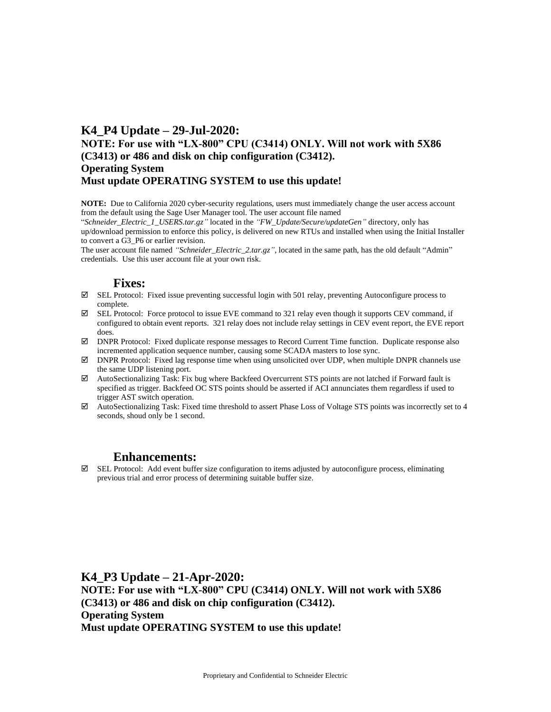#### **K4\_P4 Update – 29-Jul-2020: NOTE: For use with "LX-800" CPU (C3414) ONLY. Will not work with 5X86 (C3413) or 486 and disk on chip configuration (C3412). Operating System Must update OPERATING SYSTEM to use this update!**

**NOTE:** Due to California 2020 cyber-security regulations, users must immediately change the user access account from the default using the Sage User Manager tool. The user account file named

"*Schneider\_Electric\_1\_USERS.tar.gz"* located in the *"FW\_Update/Secure/updateGen"* directory, only has up/download permission to enforce this policy, is delivered on new RTUs and installed when using the Initial Installer to convert a G3\_P6 or earlier revision.

The user account file named *"Schneider\_Electric\_2.tar.gz"*, located in the same path, has the old default "Admin" credentials. Use this user account file at your own risk.

#### **Fixes:**

- SEL Protocol: Fixed issue preventing successful login with 501 relay, preventing Autoconfigure process to complete.
- $\boxtimes$  SEL Protocol: Force protocol to issue EVE command to 321 relay even though it supports CEV command, if configured to obtain event reports. 321 relay does not include relay settings in CEV event report, the EVE report does.
- DNPR Protocol: Fixed duplicate response messages to Record Current Time function. Duplicate response also incremented application sequence number, causing some SCADA masters to lose sync.
- $\boxtimes$  DNPR Protocol: Fixed lag response time when using unsolicited over UDP, when multiple DNPR channels use the same UDP listening port.
- $\boxtimes$  AutoSectionalizing Task: Fix bug where Backfeed Overcurrent STS points are not latched if Forward fault is specified as trigger. Backfeed OC STS points should be asserted if ACI annunciates them regardless if used to trigger AST switch operation.
- $\boxtimes$  AutoSectionalizing Task: Fixed time threshold to assert Phase Loss of Voltage STS points was incorrectly set to 4 seconds, shoud only be 1 second.

#### **Enhancements:**

 SEL Protocol: Add event buffer size configuration to items adjusted by autoconfigure process, eliminating previous trial and error process of determining suitable buffer size.

**K4\_P3 Update – 21-Apr-2020: NOTE: For use with "LX-800" CPU (C3414) ONLY. Will not work with 5X86 (C3413) or 486 and disk on chip configuration (C3412). Operating System Must update OPERATING SYSTEM to use this update!**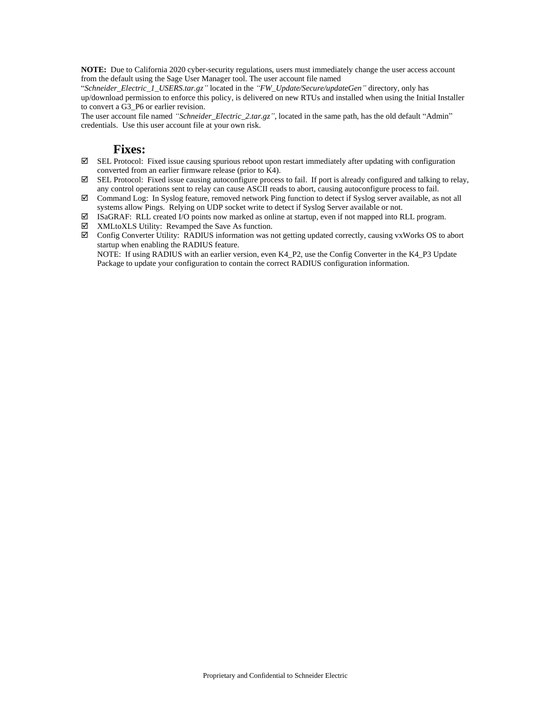**NOTE:** Due to California 2020 cyber-security regulations, users must immediately change the user access account from the default using the Sage User Manager tool. The user account file named

"*Schneider\_Electric\_1\_USERS.tar.gz"* located in the *"FW\_Update/Secure/updateGen"* directory, only has up/download permission to enforce this policy, is delivered on new RTUs and installed when using the Initial Installer to convert a G3\_P6 or earlier revision.

The user account file named *"Schneider\_Electric\_2.tar.gz"*, located in the same path, has the old default "Admin" credentials. Use this user account file at your own risk.

#### **Fixes:**

- $\boxtimes$  SEL Protocol: Fixed issue causing spurious reboot upon restart immediately after updating with configuration converted from an earlier firmware release (prior to K4).
- $\boxtimes$  SEL Protocol: Fixed issue causing autoconfigure process to fail. If port is already configured and talking to relay, any control operations sent to relay can cause ASCII reads to abort, causing autoconfigure process to fail.
- Command Log: In Syslog feature, removed network Ping function to detect if Syslog server available, as not all systems allow Pings. Relying on UDP socket write to detect if Syslog Server available or not.
- ISaGRAF: RLL created I/O points now marked as online at startup, even if not mapped into RLL program.
- XMLtoXLS Utility: Revamped the Save As function.
- $\boxtimes$  Config Converter Utility: RADIUS information was not getting updated correctly, causing vxWorks OS to abort startup when enabling the RADIUS feature.

NOTE: If using RADIUS with an earlier version, even K4\_P2, use the Config Converter in the K4\_P3 Update Package to update your configuration to contain the correct RADIUS configuration information.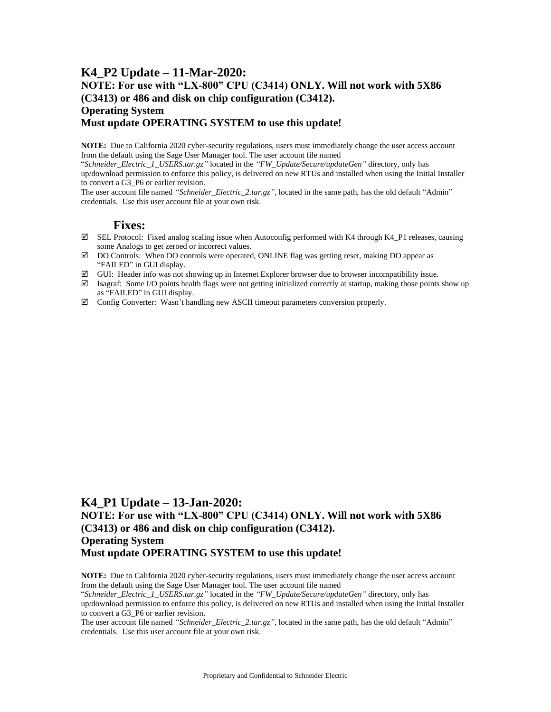#### **K4\_P2 Update – 11-Mar-2020: NOTE: For use with "LX-800" CPU (C3414) ONLY. Will not work with 5X86 (C3413) or 486 and disk on chip configuration (C3412). Operating System Must update OPERATING SYSTEM to use this update!**

**NOTE:** Due to California 2020 cyber-security regulations, users must immediately change the user access account from the default using the Sage User Manager tool. The user account file named

"*Schneider\_Electric\_1\_USERS.tar.gz"* located in the *"FW\_Update/Secure/updateGen"* directory, only has up/download permission to enforce this policy, is delivered on new RTUs and installed when using the Initial Installer to convert a G3\_P6 or earlier revision.

The user account file named *"Schneider\_Electric\_2.tar.gz"*, located in the same path, has the old default "Admin" credentials. Use this user account file at your own risk.

#### **Fixes:**

- $\boxtimes$  SEL Protocol: Fixed analog scaling issue when Autoconfig performed with K4 through K4\_P1 releases, causing some Analogs to get zeroed or incorrect values.
- DO Controls: When DO controls were operated, ONLINE flag was getting reset, making DO appear as "FAILED" in GUI display.
- GUI: Header info was not showing up in Internet Explorer browser due to browser incompatibility issue.
- Isagraf: Some I/O points health flags were not getting initialized correctly at startup, making those points show up as "FAILED" in GUI display.
- Config Converter: Wasn't handling new ASCII timeout parameters conversion properly.

#### **K4\_P1 Update – 13-Jan-2020:**

#### **NOTE: For use with "LX-800" CPU (C3414) ONLY. Will not work with 5X86 (C3413) or 486 and disk on chip configuration (C3412). Operating System Must update OPERATING SYSTEM to use this update!**

**NOTE:** Due to California 2020 cyber-security regulations, users must immediately change the user access account from the default using the Sage User Manager tool. The user account file named

"*Schneider\_Electric\_1\_USERS.tar.gz"* located in the *"FW\_Update/Secure/updateGen"* directory, only has up/download permission to enforce this policy, is delivered on new RTUs and installed when using the Initial Installer to convert a G3\_P6 or earlier revision.

The user account file named *"Schneider\_Electric\_2.tar.gz"*, located in the same path, has the old default "Admin" credentials. Use this user account file at your own risk.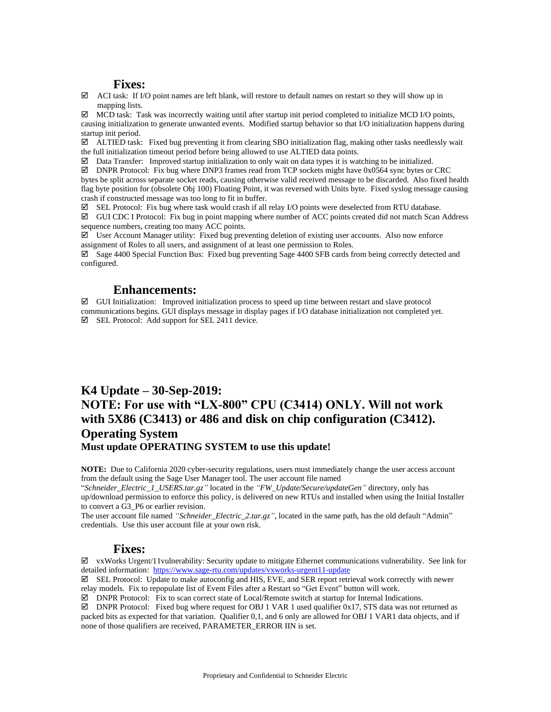#### **Fixes:**

 $\boxtimes$  ACI task: If I/O point names are left blank, will restore to default names on restart so they will show up in mapping lists.

 $\boxtimes$  MCD task: Task was incorrectly waiting until after startup init period completed to initialize MCD I/O points, causing initialization to generate unwanted events. Modified startup behavior so that I/O initialization happens during startup init period.

 $\boxtimes$  ALTIED task: Fixed bug preventing it from clearing SBO initialization flag, making other tasks needlessly wait the full initialization timeout period before being allowed to use ALTIED data points.

 $\boxtimes$  Data Transfer: Improved startup initialization to only wait on data types it is watching to be initialized.

 $\boxtimes$  DNPR Protocol: Fix bug where DNP3 frames read from TCP sockets might have 0x0564 sync bytes or CRC bytes be split across separate socket reads, causing otherwise valid received message to be discarded. Also fixed health flag byte position for (obsolete Obj 100) Floating Point, it was reversed with Units byte. Fixed syslog message causing crash if constructed message was too long to fit in buffer.

 $\boxtimes$  SEL Protocol: Fix bug where task would crash if all relay I/O points were deselected from RTU database.

 GUI CDC I Protocol: Fix bug in point mapping where number of ACC points created did not match Scan Address sequence numbers, creating too many ACC points.

 $\boxtimes$  User Account Manager utility: Fixed bug preventing deletion of existing user accounts. Also now enforce assignment of Roles to all users, and assignment of at least one permission to Roles.

 $\boxtimes$  Sage 4400 Special Function Bus: Fixed bug preventing Sage 4400 SFB cards from being correctly detected and configured.

#### **Enhancements:**

 $\boxtimes$  GUI Initialization: Improved initialization process to speed up time between restart and slave protocol communications begins. GUI displays message in display pages if I/O database initialization not completed yet.  $\boxtimes$  SEL Protocol: Add support for SEL 2411 device.

## **K4 Update – 30-Sep-2019: NOTE: For use with "LX-800" CPU (C3414) ONLY. Will not work with 5X86 (C3413) or 486 and disk on chip configuration (C3412). Operating System Must update OPERATING SYSTEM to use this update!**

**NOTE:** Due to California 2020 cyber-security regulations, users must immediately change the user access account from the default using the Sage User Manager tool. The user account file named

"*Schneider\_Electric\_1\_USERS.tar.gz"* located in the *"FW\_Update/Secure/updateGen"* directory, only has up/download permission to enforce this policy, is delivered on new RTUs and installed when using the Initial Installer to convert a G3\_P6 or earlier revision.

The user account file named *"Schneider\_Electric\_2.tar.gz"*, located in the same path, has the old default "Admin" credentials. Use this user account file at your own risk.

#### **Fixes:**

 $\boxtimes$  vxWorks Urgent/11 vulnerability: Security update to mitigate Ethernet communications vulnerability. See link for detailed information:<https://www.sage-rtu.com/updates/vxworks-urgent11-update>

 $\boxtimes$  SEL Protocol: Update to make autoconfig and HIS, EVE, and SER report retrieval work correctly with newer relay models. Fix to repopulate list of Event Files after a Restart so "Get Event" button will work.

 $\boxtimes$  DNPR Protocol: Fix to scan correct state of Local/Remote switch at startup for Internal Indications.

 $\boxtimes$  DNPR Protocol: Fixed bug where request for OBJ 1 VAR 1 used qualifier 0x17, STS data was not returned as packed bits as expected for that variation. Qualifier 0,1, and 6 only are allowed for OBJ 1 VAR1 data objects, and if none of those qualifiers are received, PARAMETER\_ERROR IIN is set.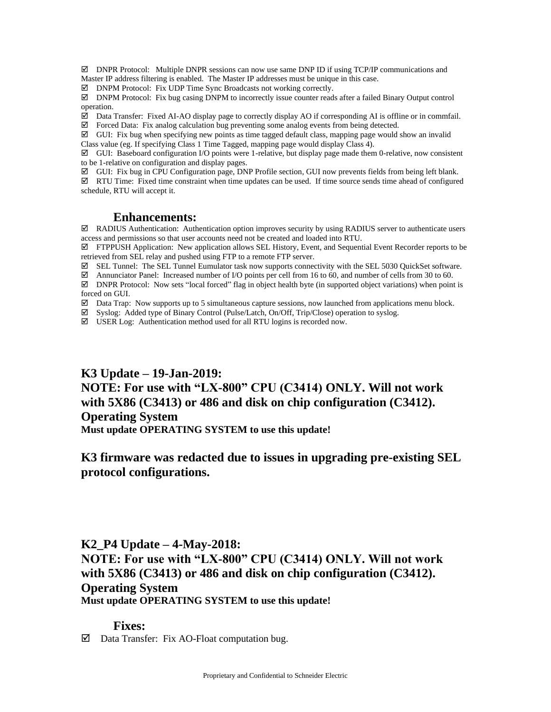$\boxtimes$  DNPR Protocol: Multiple DNPR sessions can now use same DNP ID if using TCP/IP communications and Master IP address filtering is enabled. The Master IP addresses must be unique in this case.

DNPM Protocol: Fix UDP Time Sync Broadcasts not working correctly.

 $\boxtimes$  DNPM Protocol: Fix bug casing DNPM to incorrectly issue counter reads after a failed Binary Output control operation.

 $\boxtimes$  Data Transfer: Fixed AI-AO display page to correctly display AO if corresponding AI is offline or in commfail.  $\boxtimes$  Forced Data: Fix analog calculation bug preventing some analog events from being detected.

 $\boxtimes$  GUI: Fix bug when specifying new points as time tagged default class, mapping page would show an invalid Class value (eg. If specifying Class 1 Time Tagged, mapping page would display Class 4).

 $\boxtimes$  GUI: Baseboard configuration I/O points were 1-relative, but display page made them 0-relative, now consistent to be 1-relative on configuration and display pages.

GUI: Fix bug in CPU Configuration page, DNP Profile section, GUI now prevents fields from being left blank.

 RTU Time: Fixed time constraint when time updates can be used. If time source sends time ahead of configured schedule, RTU will accept it.

#### **Enhancements:**

 $\boxtimes$  RADIUS Authentication: Authentication option improves security by using RADIUS server to authenticate users access and permissions so that user accounts need not be created and loaded into RTU.

 FTPPUSH Application: New application allows SEL History, Event, and Sequential Event Recorder reports to be retrieved from SEL relay and pushed using FTP to a remote FTP server.

SEL Tunnel: The SEL Tunnel Eumulator task now supports connectivity with the SEL 5030 QuickSet software.

 $\boxtimes$  Annunciator Panel: Increased number of I/O points per cell from 16 to 60, and number of cells from 30 to 60.

 DNPR Protocol: Now sets "local forced" flag in object health byte (in supported object variations) when point is forced on GUI.

 $\boxtimes$  Data Trap: Now supports up to 5 simultaneous capture sessions, now launched from applications menu block.

Syslog: Added type of Binary Control (Pulse/Latch, On/Off, Trip/Close) operation to syslog.

USER Log: Authentication method used for all RTU logins is recorded now.

## **K3 Update – 19-Jan-2019: NOTE: For use with "LX-800" CPU (C3414) ONLY. Will not work with 5X86 (C3413) or 486 and disk on chip configuration (C3412). Operating System Must update OPERATING SYSTEM to use this update!**

### **K3 firmware was redacted due to issues in upgrading pre-existing SEL protocol configurations.**

#### **K2\_P4 Update – 4-May-2018:**

**NOTE: For use with "LX-800" CPU (C3414) ONLY. Will not work with 5X86 (C3413) or 486 and disk on chip configuration (C3412). Operating System Must update OPERATING SYSTEM to use this update!** 

#### **Fixes:**

 $\boxtimes$  Data Transfer: Fix AO-Float computation bug.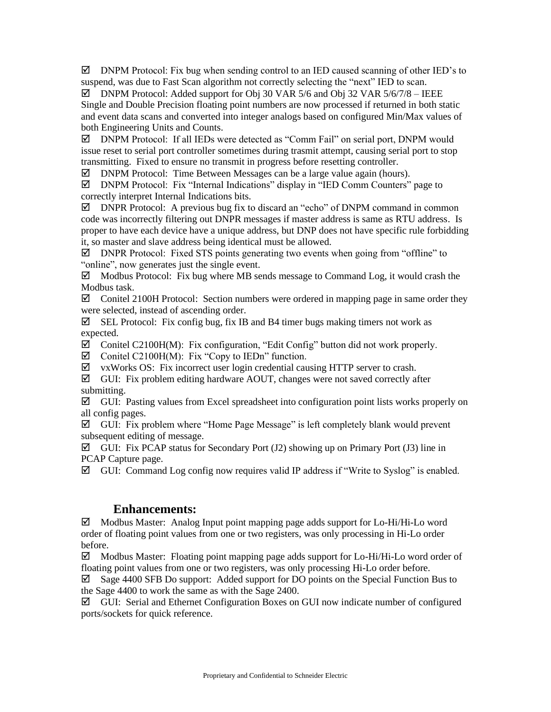$\boxtimes$  DNPM Protocol: Fix bug when sending control to an IED caused scanning of other IED's to suspend, was due to Fast Scan algorithm not correctly selecting the "next" IED to scan.

 $\boxtimes$  DNPM Protocol: Added support for Obj 30 VAR 5/6 and Obj 32 VAR 5/6/7/8 – IEEE Single and Double Precision floating point numbers are now processed if returned in both static and event data scans and converted into integer analogs based on configured Min/Max values of both Engineering Units and Counts.

 DNPM Protocol: If all IEDs were detected as "Comm Fail" on serial port, DNPM would issue reset to serial port controller sometimes during trasmit attempt, causing serial port to stop transmitting. Fixed to ensure no transmit in progress before resetting controller.

 $\boxtimes$  DNPM Protocol: Time Between Messages can be a large value again (hours).

 DNPM Protocol: Fix "Internal Indications" display in "IED Comm Counters" page to correctly interpret Internal Indications bits.

 $\boxtimes$  DNPR Protocol: A previous bug fix to discard an "echo" of DNPM command in common code was incorrectly filtering out DNPR messages if master address is same as RTU address. Is proper to have each device have a unique address, but DNP does not have specific rule forbidding it, so master and slave address being identical must be allowed.

 $\boxtimes$  DNPR Protocol: Fixed STS points generating two events when going from "offline" to "online", now generates just the single event.

 $\boxtimes$  Modbus Protocol: Fix bug where MB sends message to Command Log, it would crash the Modbus task.

 $\boxtimes$  Conitel 2100H Protocol: Section numbers were ordered in mapping page in same order they were selected, instead of ascending order.

 $\boxtimes$  SEL Protocol: Fix config bug, fix IB and B4 timer bugs making timers not work as expected.

 $\boxtimes$  Conitel C2100H(M): Fix configuration, "Edit Config" button did not work properly.

 $\boxtimes$  Conitel C2100H(M): Fix "Copy to IEDn" function.

vxWorks OS: Fix incorrect user login credential causing HTTP server to crash.

 $\boxtimes$  GUI: Fix problem editing hardware AOUT, changes were not saved correctly after submitting.

 $\boxtimes$  GUI: Pasting values from Excel spreadsheet into configuration point lists works properly on all config pages.

 $\boxtimes$  GUI: Fix problem where "Home Page Message" is left completely blank would prevent subsequent editing of message.

 $\boxtimes$  GUI: Fix PCAP status for Secondary Port (J2) showing up on Primary Port (J3) line in PCAP Capture page.

 $\boxtimes$  GUI: Command Log config now requires valid IP address if "Write to Syslog" is enabled.

#### **Enhancements:**

 $\boxtimes$  Modbus Master: Analog Input point mapping page adds support for Lo-Hi/Hi-Lo word order of floating point values from one or two registers, was only processing in Hi-Lo order before.

 $\boxtimes$  Modbus Master: Floating point mapping page adds support for Lo-Hi/Hi-Lo word order of floating point values from one or two registers, was only processing Hi-Lo order before.

 $\boxtimes$  Sage 4400 SFB Do support: Added support for DO points on the Special Function Bus to the Sage 4400 to work the same as with the Sage 2400.

 $\boxtimes$  GUI: Serial and Ethernet Configuration Boxes on GUI now indicate number of configured ports/sockets for quick reference.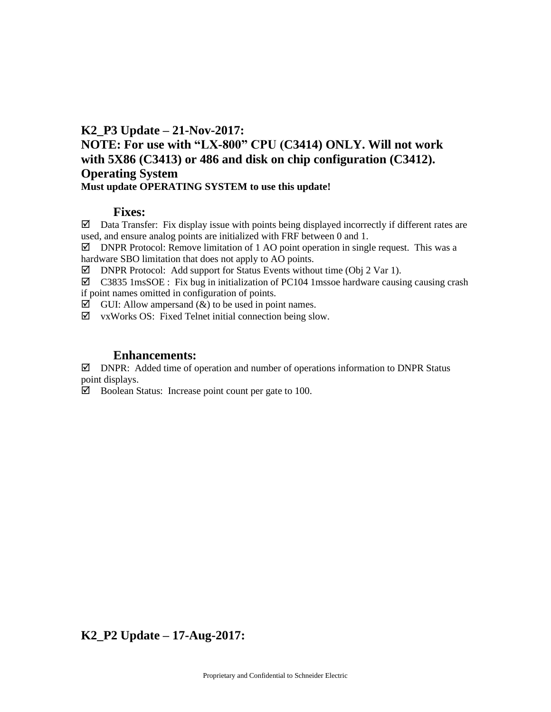# **K2\_P3 Update – 21-Nov-2017: NOTE: For use with "LX-800" CPU (C3414) ONLY. Will not work with 5X86 (C3413) or 486 and disk on chip configuration (C3412). Operating System Must update OPERATING SYSTEM to use this update!**

#### **Fixes:**

 $\boxtimes$  Data Transfer: Fix display issue with points being displayed incorrectly if different rates are used, and ensure analog points are initialized with FRF between 0 and 1.

 $\boxtimes$  DNPR Protocol: Remove limitation of 1 AO point operation in single request. This was a hardware SBO limitation that does not apply to AO points.

 $\boxtimes$  DNPR Protocol: Add support for Status Events without time (Obj 2 Var 1).

 $\boxtimes$  C3835 1msSOE : Fix bug in initialization of PC104 1mssoe hardware causing causing crash if point names omitted in configuration of points.

 $\boxtimes$  GUI: Allow ampersand  $(\&)$  to be used in point names.

 $\boxtimes$  vxWorks OS: Fixed Telnet initial connection being slow.

#### **Enhancements:**

 $\boxtimes$  DNPR: Added time of operation and number of operations information to DNPR Status point displays.

 $\boxtimes$  Boolean Status: Increase point count per gate to 100.

**K2\_P2 Update – 17-Aug-2017:**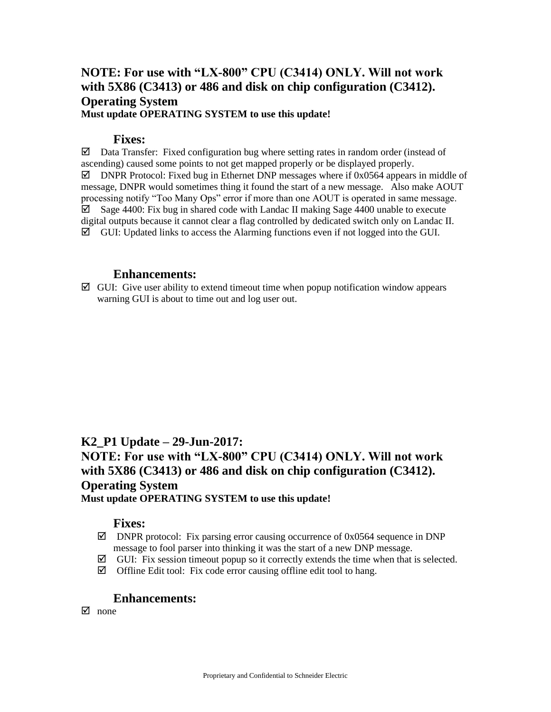## **NOTE: For use with "LX-800" CPU (C3414) ONLY. Will not work with 5X86 (C3413) or 486 and disk on chip configuration (C3412). Operating System Must update OPERATING SYSTEM to use this update!**

#### **Fixes:**

 $\boxtimes$  Data Transfer: Fixed configuration bug where setting rates in random order (instead of ascending) caused some points to not get mapped properly or be displayed properly.  $\boxtimes$  DNPR Protocol: Fixed bug in Ethernet DNP messages where if 0x0564 appears in middle of message, DNPR would sometimes thing it found the start of a new message. Also make AOUT processing notify "Too Many Ops" error if more than one AOUT is operated in same message.  $\boxtimes$  Sage 4400: Fix bug in shared code with Landac II making Sage 4400 unable to execute digital outputs because it cannot clear a flag controlled by dedicated switch only on Landac II.  $\boxtimes$  GUI: Updated links to access the Alarming functions even if not logged into the GUI.

#### **Enhancements:**

 $\boxtimes$  GUI: Give user ability to extend timeout time when popup notification window appears warning GUI is about to time out and log user out.

### **K2\_P1 Update – 29-Jun-2017: NOTE: For use with "LX-800" CPU (C3414) ONLY. Will not work with 5X86 (C3413) or 486 and disk on chip configuration (C3412). Operating System Must update OPERATING SYSTEM to use this update!**

#### **Fixes:**

- $\boxtimes$  DNPR protocol: Fix parsing error causing occurrence of 0x0564 sequence in DNP message to fool parser into thinking it was the start of a new DNP message.
- $\boxtimes$  GUI: Fix session timeout popup so it correctly extends the time when that is selected.
- $\boxtimes$  Offline Edit tool: Fix code error causing offline edit tool to hang.

#### **Enhancements:**

 $\overline{M}$  none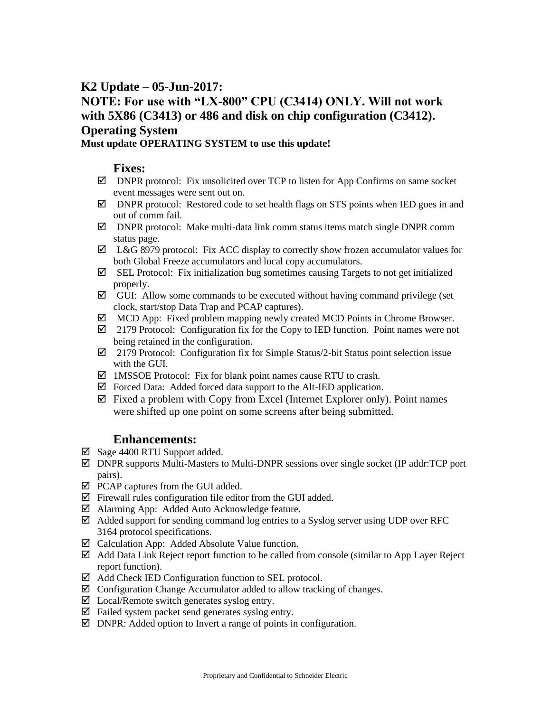# **K2 Update – 05-Jun-2017: NOTE: For use with "LX-800" CPU (C3414) ONLY. Will not work with 5X86 (C3413) or 486 and disk on chip configuration (C3412). Operating System**

#### **Must update OPERATING SYSTEM to use this update!**

#### **Fixes:**

- $\boxtimes$  DNPR protocol: Fix unsolicited over TCP to listen for App Confirms on same socket event messages were sent out on.
- $\boxtimes$  DNPR protocol: Restored code to set health flags on STS points when IED goes in and out of comm fail.
- DNPR protocol: Make multi-data link comm status items match single DNPR comm status page.
- $\boxtimes$  L&G 8979 protocol: Fix ACC display to correctly show frozen accumulator values for both Global Freeze accumulators and local copy accumulators.
- $\boxtimes$  SEL Protocol: Fix initialization bug sometimes causing Targets to not get initialized properly.
- $\boxtimes$  GUI: Allow some commands to be executed without having command privilege (set clock, start/stop Data Trap and PCAP captures).
- $\boxtimes$  MCD App: Fixed problem mapping newly created MCD Points in Chrome Browser.
- $\boxtimes$  2179 Protocol: Configuration fix for the Copy to IED function. Point names were not being retained in the configuration.
- $\boxtimes$  2179 Protocol: Configuration fix for Simple Status/2-bit Status point selection issue with the GUI.
- $\boxtimes$  1MSSOE Protocol: Fix for blank point names cause RTU to crash.
- $\boxtimes$  Forced Data: Added forced data support to the Alt-IED application.
- $\boxtimes$  Fixed a problem with Copy from Excel (Internet Explorer only). Point names were shifted up one point on some screens after being submitted.

#### **Enhancements:**

- $\boxtimes$  Sage 4400 RTU Support added.
- $\boxtimes$  DNPR supports Multi-Masters to Multi-DNPR sessions over single socket (IP addr:TCP port pairs).
- $\boxtimes$  PCAP captures from the GUI added.
- $\boxtimes$  Firewall rules configuration file editor from the GUI added.
- Alarming App: Added Auto Acknowledge feature.
- $\boxtimes$  Added support for sending command log entries to a Syslog server using UDP over RFC 3164 protocol specifications.
- $\boxtimes$  Calculation App: Added Absolute Value function.
- $\boxtimes$  Add Data Link Reject report function to be called from console (similar to App Layer Reject report function).
- $\boxtimes$  Add Check IED Configuration function to SEL protocol.
- $\boxtimes$  Configuration Change Accumulator added to allow tracking of changes.
- $\boxtimes$  Local/Remote switch generates syslog entry.
- $\boxtimes$  Failed system packet send generates syslog entry.
- $\boxtimes$  DNPR: Added option to Invert a range of points in configuration.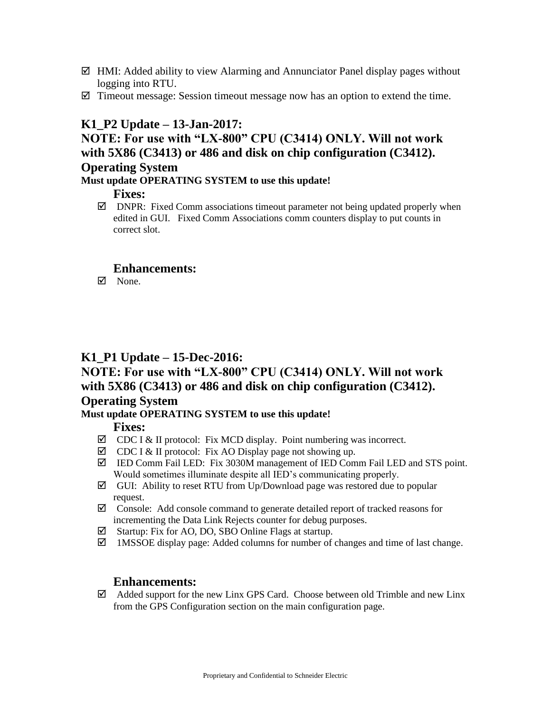- $\boxtimes$  HMI: Added ability to view Alarming and Annunciator Panel display pages without logging into RTU.
- $\boxtimes$  Timeout message: Session timeout message now has an option to extend the time.

### **K1\_P2 Update – 13-Jan-2017:**

# **NOTE: For use with "LX-800" CPU (C3414) ONLY. Will not work with 5X86 (C3413) or 486 and disk on chip configuration (C3412).**

#### **Operating System**

#### **Must update OPERATING SYSTEM to use this update!**

#### **Fixes:**

 $\boxtimes$  DNPR: Fixed Comm associations timeout parameter not being updated properly when edited in GUI. Fixed Comm Associations comm counters display to put counts in correct slot.

#### **Enhancements:**

 $\nabla$  None.

### **K1\_P1 Update – 15-Dec-2016:**

# **NOTE: For use with "LX-800" CPU (C3414) ONLY. Will not work with 5X86 (C3413) or 486 and disk on chip configuration (C3412). Operating System**

#### **Must update OPERATING SYSTEM to use this update!**

#### **Fixes:**

- $\boxtimes$  CDC I & II protocol: Fix MCD display. Point numbering was incorrect.
- $\boxtimes$  CDC I & II protocol: Fix AO Display page not showing up.
- IED Comm Fail LED: Fix 3030M management of IED Comm Fail LED and STS point. Would sometimes illuminate despite all IED's communicating properly.
- $\boxtimes$  GUI: Ability to reset RTU from Up/Download page was restored due to popular request.
- $\boxtimes$  Console: Add console command to generate detailed report of tracked reasons for incrementing the Data Link Rejects counter for debug purposes.
- $\boxtimes$  Startup: Fix for AO, DO, SBO Online Flags at startup.
- $\boxtimes$  1MSSOE display page: Added columns for number of changes and time of last change.

#### **Enhancements:**

 $\boxtimes$  Added support for the new Linx GPS Card. Choose between old Trimble and new Linx from the GPS Configuration section on the main configuration page.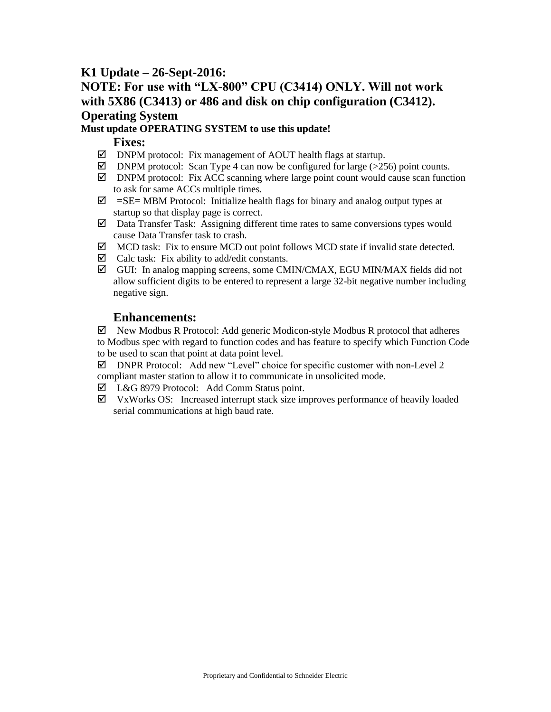## **K1 Update – 26-Sept-2016:**

# **NOTE: For use with "LX-800" CPU (C3414) ONLY. Will not work with 5X86 (C3413) or 486 and disk on chip configuration (C3412). Operating System**

#### **Must update OPERATING SYSTEM to use this update!**

#### **Fixes:**

- $\boxtimes$  DNPM protocol: Fix management of AOUT health flags at startup.
- $\boxtimes$  DNPM protocol: Scan Type 4 can now be configured for large (>256) point counts.
- $\boxtimes$  DNPM protocol: Fix ACC scanning where large point count would cause scan function to ask for same ACCs multiple times.
- $\boxtimes$  =SE= MBM Protocol: Initialize health flags for binary and analog output types at startup so that display page is correct.
- $\boxtimes$  Data Transfer Task: Assigning different time rates to same conversions types would cause Data Transfer task to crash.
- $\boxtimes$  MCD task: Fix to ensure MCD out point follows MCD state if invalid state detected.
- $\boxtimes$  Calc task: Fix ability to add/edit constants.
- $\boxtimes$  GUI: In analog mapping screens, some CMIN/CMAX, EGU MIN/MAX fields did not allow sufficient digits to be entered to represent a large 32-bit negative number including negative sign.

### **Enhancements:**

 $\boxtimes$  New Modbus R Protocol: Add generic Modicon-style Modbus R protocol that adheres to Modbus spec with regard to function codes and has feature to specify which Function Code to be used to scan that point at data point level.

- $\boxtimes$  DNPR Protocol: Add new "Level" choice for specific customer with non-Level 2 compliant master station to allow it to communicate in unsolicited mode.
- L&G 8979 Protocol: Add Comm Status point.
- $\boxtimes$  VxWorks OS: Increased interrupt stack size improves performance of heavily loaded serial communications at high baud rate.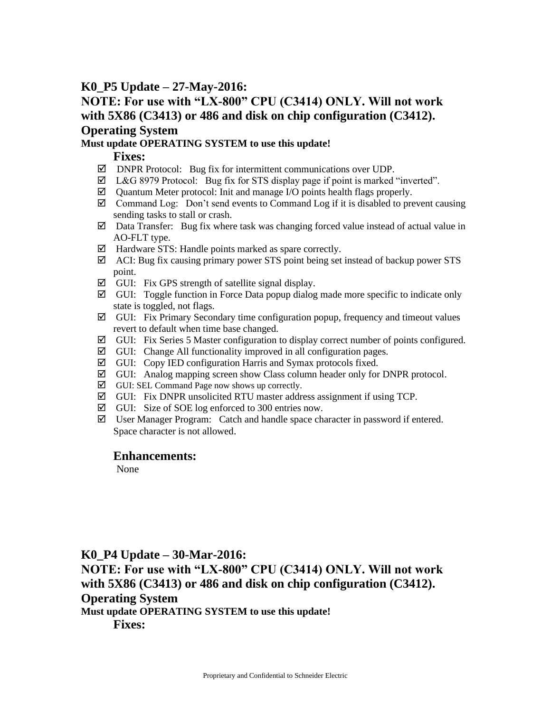### **K0\_P5 Update – 27-May-2016:**

# **NOTE: For use with "LX-800" CPU (C3414) ONLY. Will not work with 5X86 (C3413) or 486 and disk on chip configuration (C3412). Operating System**

#### **Must update OPERATING SYSTEM to use this update!**

#### **Fixes:**

- DNPR Protocol: Bug fix for intermittent communications over UDP.
- L&G 8979 Protocol: Bug fix for STS display page if point is marked "inverted".
- $\boxtimes$  Quantum Meter protocol: Init and manage I/O points health flags properly.
- $\boxtimes$  Command Log: Don't send events to Command Log if it is disabled to prevent causing sending tasks to stall or crash.
- $\boxtimes$  Data Transfer: Bug fix where task was changing forced value instead of actual value in AO-FLT type.
- $\boxtimes$  Hardware STS: Handle points marked as spare correctly.
- $\boxtimes$  ACI: Bug fix causing primary power STS point being set instead of backup power STS point.
- $\boxtimes$  GUI: Fix GPS strength of satellite signal display.
- $\boxtimes$  GUI: Toggle function in Force Data popup dialog made more specific to indicate only state is toggled, not flags.
- $\boxtimes$  GUI: Fix Primary Secondary time configuration popup, frequency and timeout values revert to default when time base changed.
- $\boxtimes$  GUI: Fix Series 5 Master configuration to display correct number of points configured.
- $\boxtimes$  GUI: Change All functionality improved in all configuration pages.
- $\boxtimes$  GUI: Copy IED configuration Harris and Symax protocols fixed.
- $\boxtimes$  GUI: Analog mapping screen show Class column header only for DNPR protocol.
- $\boxtimes$  GUI: SEL Command Page now shows up correctly.
- $\boxtimes$  GUI: Fix DNPR unsolicited RTU master address assignment if using TCP.
- $\boxtimes$  GUI: Size of SOE log enforced to 300 entries now.
- $\boxtimes$  User Manager Program: Catch and handle space character in password if entered. Space character is not allowed.

#### **Enhancements:**

None

**K0\_P4 Update – 30-Mar-2016: NOTE: For use with "LX-800" CPU (C3414) ONLY. Will not work with 5X86 (C3413) or 486 and disk on chip configuration (C3412). Operating System Must update OPERATING SYSTEM to use this update! Fixes:**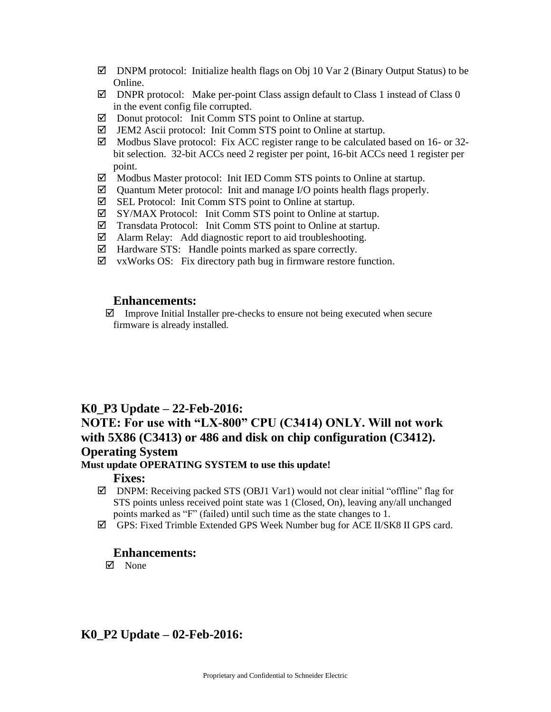- $\boxtimes$  DNPM protocol: Initialize health flags on Obj 10 Var 2 (Binary Output Status) to be Online.
- $\boxtimes$  DNPR protocol: Make per-point Class assign default to Class 1 instead of Class 0 in the event config file corrupted.
- $\boxtimes$  Donut protocol: Init Comm STS point to Online at startup.
- $\boxtimes$  JEM2 Ascii protocol: Init Comm STS point to Online at startup.
- $\boxtimes$  Modbus Slave protocol: Fix ACC register range to be calculated based on 16- or 32bit selection. 32-bit ACCs need 2 register per point, 16-bit ACCs need 1 register per point.
- $\boxtimes$  Modbus Master protocol: Init IED Comm STS points to Online at startup.
- $\boxtimes$  Quantum Meter protocol: Init and manage I/O points health flags properly.
- $\boxtimes$  SEL Protocol: Init Comm STS point to Online at startup.
- SY/MAX Protocol: Init Comm STS point to Online at startup.
- $\boxtimes$  Transdata Protocol: Init Comm STS point to Online at startup.
- Alarm Relay: Add diagnostic report to aid troubleshooting.
- $\boxtimes$  Hardware STS: Handle points marked as spare correctly.
- $\boxtimes$  vxWorks OS: Fix directory path bug in firmware restore function.

#### **Enhancements:**

 $\boxtimes$  Improve Initial Installer pre-checks to ensure not being executed when secure firmware is already installed.

#### **K0\_P3 Update – 22-Feb-2016:**

# **NOTE: For use with "LX-800" CPU (C3414) ONLY. Will not work with 5X86 (C3413) or 486 and disk on chip configuration (C3412). Operating System**

# **Must update OPERATING SYSTEM to use this update!**

**Fixes:** 

- $\boxtimes$  DNPM: Receiving packed STS (OBJ1 Var1) would not clear initial "offline" flag for STS points unless received point state was 1 (Closed, On), leaving any/all unchanged points marked as "F" (failed) until such time as the state changes to 1.
- $\boxtimes$  GPS: Fixed Trimble Extended GPS Week Number bug for ACE II/SK8 II GPS card.

#### **Enhancements:**

 $\nabla$  None

### **K0\_P2 Update – 02-Feb-2016:**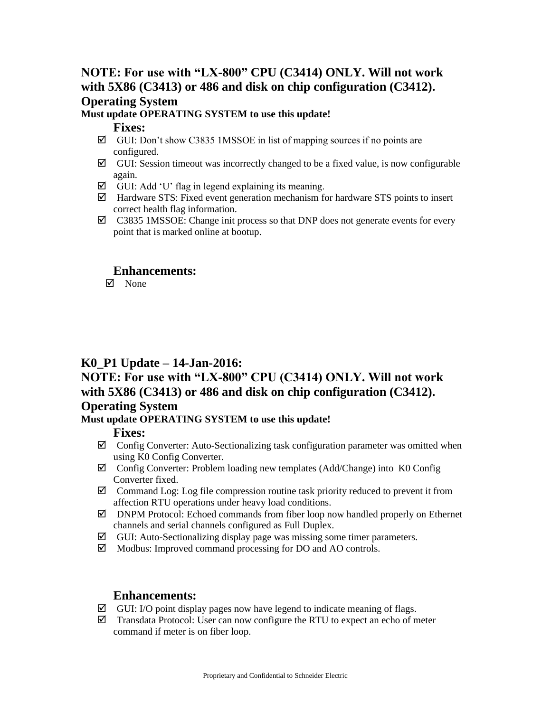# **NOTE: For use with "LX-800" CPU (C3414) ONLY. Will not work with 5X86 (C3413) or 486 and disk on chip configuration (C3412). Operating System**

### **Must update OPERATING SYSTEM to use this update!**

#### **Fixes:**

- $\boxtimes$  GUI: Don't show C3835 1MSSOE in list of mapping sources if no points are configured.
- $\boxtimes$  GUI: Session timeout was incorrectly changed to be a fixed value, is now configurable again.
- $\boxtimes$  GUI: Add 'U' flag in legend explaining its meaning.
- $\boxtimes$  Hardware STS: Fixed event generation mechanism for hardware STS points to insert correct health flag information.
- $\boxtimes$  C3835 1MSSOE: Change init process so that DNP does not generate events for every point that is marked online at bootup.

### **Enhancements:**

 $\boxtimes$  None

# **K0\_P1 Update – 14-Jan-2016:**

# **NOTE: For use with "LX-800" CPU (C3414) ONLY. Will not work with 5X86 (C3413) or 486 and disk on chip configuration (C3412). Operating System**

#### **Must update OPERATING SYSTEM to use this update!**

#### **Fixes:**

- $\boxtimes$  Config Converter: Auto-Sectionalizing task configuration parameter was omitted when using K0 Config Converter.
- $\boxtimes$  Config Converter: Problem loading new templates (Add/Change) into K0 Config Converter fixed.
- $\boxtimes$  Command Log: Log file compression routine task priority reduced to prevent it from affection RTU operations under heavy load conditions.
- $\boxtimes$  DNPM Protocol: Echoed commands from fiber loop now handled properly on Ethernet channels and serial channels configured as Full Duplex.
- $\boxtimes$  GUI: Auto-Sectionalizing display page was missing some timer parameters.
- $\boxtimes$  Modbus: Improved command processing for DO and AO controls.

#### **Enhancements:**

- $\boxtimes$  GUI: I/O point display pages now have legend to indicate meaning of flags.
- $\boxtimes$  Transdata Protocol: User can now configure the RTU to expect an echo of meter command if meter is on fiber loop.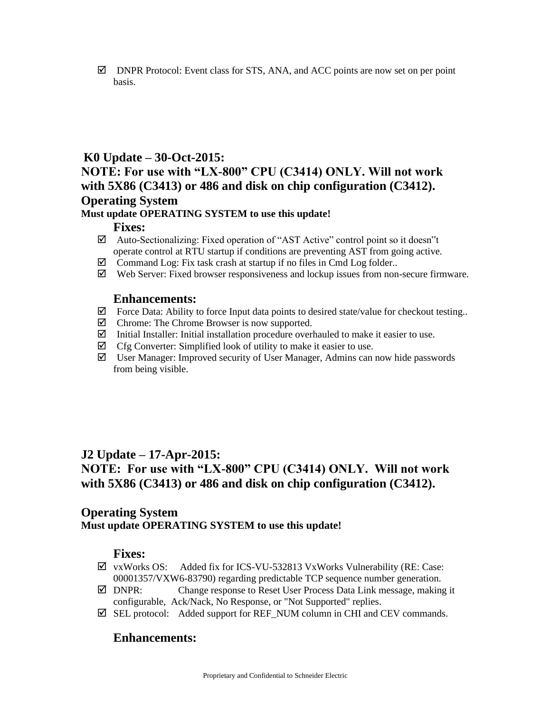$\boxtimes$  DNPR Protocol: Event class for STS, ANA, and ACC points are now set on per point basis.

### **K0 Update – 30-Oct-2015:**

## **NOTE: For use with "LX-800" CPU (C3414) ONLY. Will not work with 5X86 (C3413) or 486 and disk on chip configuration (C3412). Operating System**

#### **Must update OPERATING SYSTEM to use this update!**

#### **Fixes:**

- Auto-Sectionalizing: Fixed operation of "AST Active" control point so it doesn"t operate control at RTU startup if conditions are preventing AST from going active.
- $\boxtimes$  Command Log: Fix task crash at startup if no files in Cmd Log folder..
- $\boxtimes$  Web Server: Fixed browser responsiveness and lockup issues from non-secure firmware.

#### **Enhancements:**

- $\boxtimes$  Force Data: Ability to force Input data points to desired state/value for checkout testing..
- $\boxtimes$  Chrome: The Chrome Browser is now supported.
- $\boxtimes$  Initial Installer: Initial installation procedure overhauled to make it easier to use.
- $\boxtimes$  Cfg Converter: Simplified look of utility to make it easier to use.
- $\boxtimes$  User Manager: Improved security of User Manager, Admins can now hide passwords from being visible.

# **J2 Update – 17-Apr-2015: NOTE: For use with "LX-800" CPU (C3414) ONLY. Will not work with 5X86 (C3413) or 486 and disk on chip configuration (C3412).**

### **Operating System Must update OPERATING SYSTEM to use this update!**

### **Fixes:**

- $\boxtimes$  vxWorks OS: Added fix for ICS-VU-532813 VxWorks Vulnerability (RE: Case: 00001357/VXW6-83790) regarding predictable TCP sequence number generation.
- DNPR: Change response to Reset User Process Data Link message, making it configurable, Ack/Nack, No Response, or "Not Supported" replies.
- $\boxtimes$  SEL protocol: Added support for REF\_NUM column in CHI and CEV commands.

### **Enhancements:**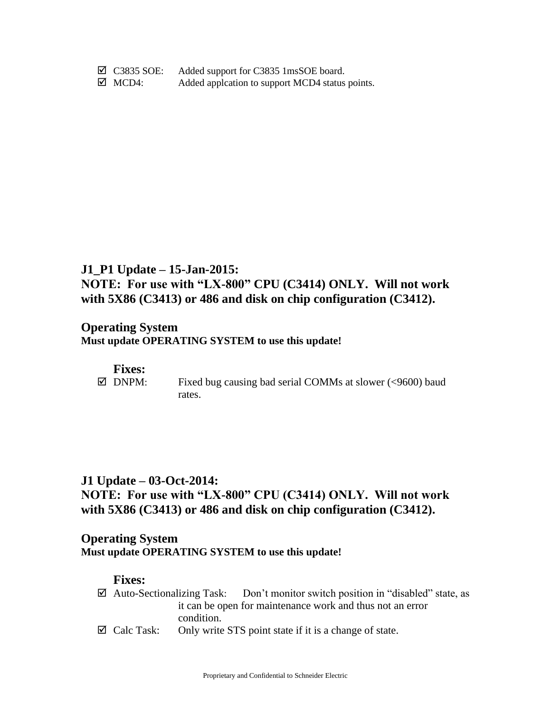C3835 SOE: Added support for C3835 1msSOE board.  $\boxtimes$  MCD4: Added applcation to support MCD4 status points.

# **J1\_P1 Update – 15-Jan-2015: NOTE: For use with "LX-800" CPU (C3414) ONLY. Will not work with 5X86 (C3413) or 486 and disk on chip configuration (C3412).**

### **Operating System Must update OPERATING SYSTEM to use this update!**

#### **Fixes:**

 $\boxtimes$  DNPM: Fixed bug causing bad serial COMMs at slower (<9600) baud rates.

# **J1 Update – 03-Oct-2014: NOTE: For use with "LX-800" CPU (C3414) ONLY. Will not work with 5X86 (C3413) or 486 and disk on chip configuration (C3412).**

### **Operating System Must update OPERATING SYSTEM to use this update!**

- $\boxtimes$  Auto-Sectionalizing Task: Don't monitor switch position in "disabled" state, as it can be open for maintenance work and thus not an error condition.
- $\boxtimes$  Calc Task: Only write STS point state if it is a change of state.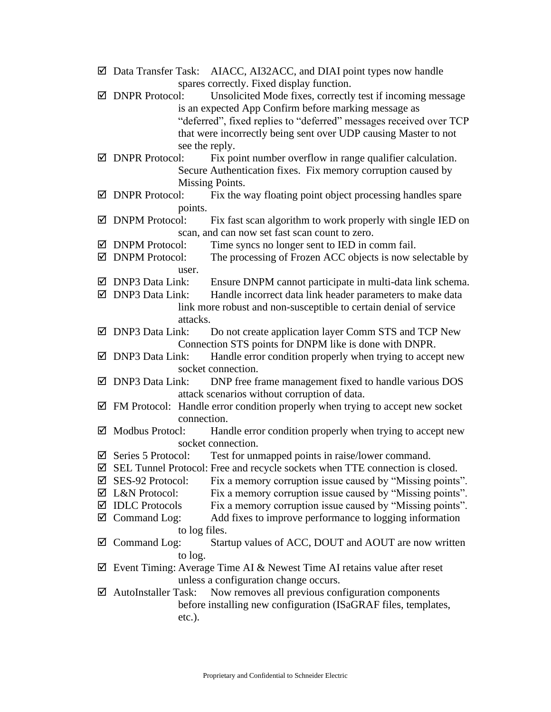- $\boxtimes$  Data Transfer Task: AIACC, AI32ACC, and DIAI point types now handle spares correctly. Fixed display function.
- $\boxtimes$  DNPR Protocol: Unsolicited Mode fixes, correctly test if incoming message is an expected App Confirm before marking message as "deferred", fixed replies to "deferred" messages received over TCP that were incorrectly being sent over UDP causing Master to not see the reply.
- $\boxtimes$  DNPR Protocol: Fix point number overflow in range qualifier calculation. Secure Authentication fixes. Fix memory corruption caused by Missing Points.
- $\boxtimes$  DNPR Protocol: Fix the way floating point object processing handles spare points.
- $\boxtimes$  DNPM Protocol: Fix fast scan algorithm to work properly with single IED on scan, and can now set fast scan count to zero.
- $\boxtimes$  DNPM Protocol: Time syncs no longer sent to IED in comm fail.
- $\boxtimes$  DNPM Protocol: The processing of Frozen ACC objects is now selectable by user.
- $\boxtimes$  DNP3 Data Link: Ensure DNPM cannot participate in multi-data link schema.
- $\boxtimes$  DNP3 Data Link: Handle incorrect data link header parameters to make data link more robust and non-susceptible to certain denial of service attacks.
- DNP3 Data Link: Do not create application layer Comm STS and TCP New Connection STS points for DNPM like is done with DNPR.
- $\boxtimes$  DNP3 Data Link: Handle error condition properly when trying to accept new socket connection.
- $\boxtimes$  DNP3 Data Link: DNP free frame management fixed to handle various DOS attack scenarios without corruption of data.
- $\boxtimes$  FM Protocol: Handle error condition properly when trying to accept new socket connection.
- $\boxtimes$  Modbus Protocl: Handle error condition properly when trying to accept new socket connection.
- $\boxtimes$  Series 5 Protocol: Test for unmapped points in raise/lower command.
- $\boxtimes$  SEL Tunnel Protocol: Free and recycle sockets when TTE connection is closed.
- $\boxtimes$  SES-92 Protocol: Fix a memory corruption issue caused by "Missing points".
- L&N Protocol: Fix a memory corruption issue caused by "Missing points".
- $\boxtimes$  IDLC Protocols Fix a memory corruption issue caused by "Missing points".
- $\boxtimes$  Command Log: Add fixes to improve performance to logging information to log files.
- $\boxtimes$  Command Log: Startup values of ACC, DOUT and AOUT are now written to log.
- $\boxtimes$  Event Timing: Average Time AI & Newest Time AI retains value after reset unless a configuration change occurs.
- $\boxtimes$  AutoInstaller Task: Now removes all previous configuration components before installing new configuration (ISaGRAF files, templates, etc.).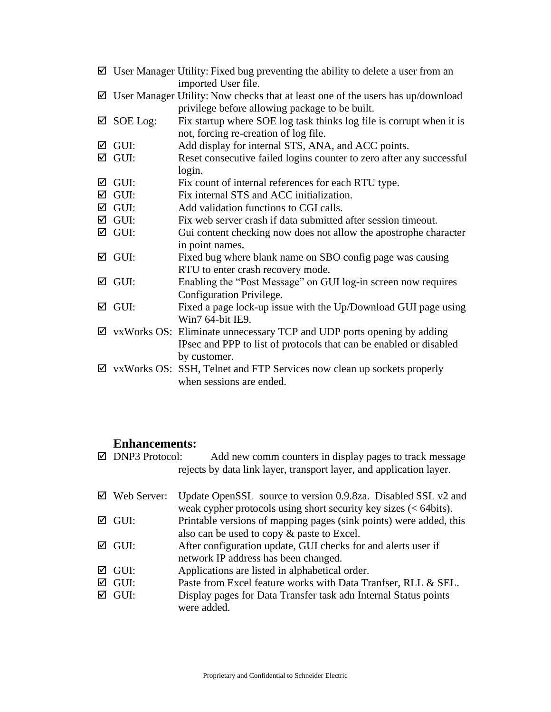|   |                  | $\boxtimes$ User Manager Utility: Fixed bug preventing the ability to delete a user from an<br>imported User file. |
|---|------------------|--------------------------------------------------------------------------------------------------------------------|
| ⊻ |                  | User Manager Utility: Now checks that at least one of the users has up/download                                    |
|   |                  | privilege before allowing package to be built.                                                                     |
| ☑ | SOE Log:         | Fix startup where SOE log task thinks log file is corrupt when it is                                               |
|   |                  | not, forcing re-creation of log file.                                                                              |
| ☑ | GUI:             | Add display for internal STS, ANA, and ACC points.                                                                 |
|   | $\boxtimes$ GUI: | Reset consecutive failed logins counter to zero after any successful<br>login.                                     |
| ☑ | GUI:             | Fix count of internal references for each RTU type.                                                                |
|   | $\boxtimes$ GUI: | Fix internal STS and ACC initialization.                                                                           |
|   | $\boxtimes$ GUI: | Add validation functions to CGI calls.                                                                             |
|   | $\boxtimes$ GUI: | Fix web server crash if data submitted after session timeout.                                                      |
|   | $\boxtimes$ GUI: | Gui content checking now does not allow the apostrophe character                                                   |
|   |                  | in point names.                                                                                                    |
| ☑ | GUI:             | Fixed bug where blank name on SBO config page was causing                                                          |
|   |                  | RTU to enter crash recovery mode.                                                                                  |
| ☑ | GUI:             | Enabling the "Post Message" on GUI log-in screen now requires                                                      |
|   |                  | Configuration Privilege.                                                                                           |
| ☑ | GUI:             | Fixed a page lock-up issue with the Up/Download GUI page using<br>Win7 64-bit IE9.                                 |
| ☑ |                  | vxWorks OS: Eliminate unnecessary TCP and UDP ports opening by adding                                              |
|   |                  | IPsec and PPP to list of protocols that can be enabled or disabled                                                 |
|   |                  | by customer.                                                                                                       |
| ☑ |                  | vxWorks OS: SSH, Telnet and FTP Services now clean up sockets properly                                             |
|   |                  | when sessions are ended.                                                                                           |

## **Enhancements:**

 $\boxtimes$  DNP3 Protocol: Add new comm counters in display pages to track message rejects by data link layer, transport layer, and application layer.

| Update OpenSSL source to version 0.9.8za. Disabled SSL v2 and                                                               |
|-----------------------------------------------------------------------------------------------------------------------------|
| weak cypher protocols using short security key sizes $(< 64 \text{bits})$ .                                                 |
| Printable versions of mapping pages (sink points) were added, this                                                          |
| also can be used to copy & paste to Excel.                                                                                  |
| After configuration update, GUI checks for and alerts user if                                                               |
| network IP address has been changed.                                                                                        |
| Applications are listed in alphabetical order.                                                                              |
| Paste from Excel feature works with Data Tranfser, RLL & SEL.                                                               |
| Display pages for Data Transfer task adn Internal Status points<br>were added.                                              |
| $\boxtimes$ Web Server:<br>$\boxtimes$ GUI:<br>$\boxtimes$ GUI:<br>$\boxtimes$ GUI:<br>$\boxtimes$ GUI:<br>$\boxtimes$ GUI: |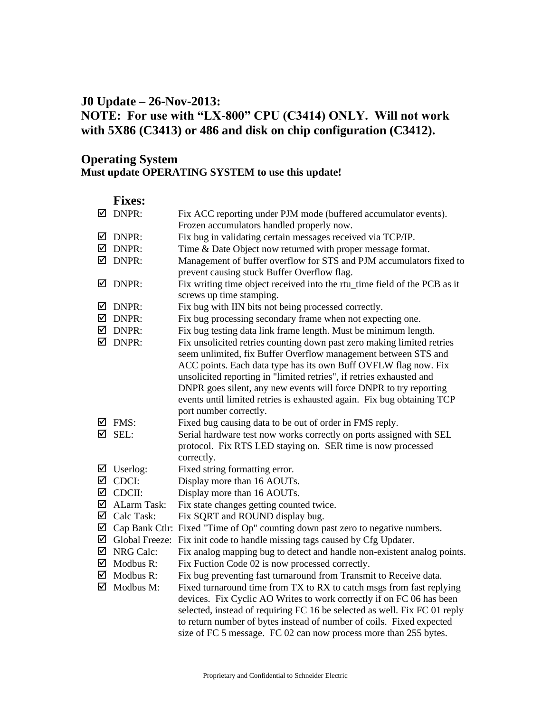# **J0 Update – 26-Nov-2013: NOTE: For use with "LX-800" CPU (C3414) ONLY. Will not work with 5X86 (C3413) or 486 and disk on chip configuration (C3412).**

### **Operating System Must update OPERATING SYSTEM to use this update!**

|   | $\boxtimes$ DNPR:                  | Fix ACC reporting under PJM mode (buffered accumulator events).<br>Frozen accumulators handled properly now. |
|---|------------------------------------|--------------------------------------------------------------------------------------------------------------|
| ⊻ | DNPR:                              | Fix bug in validating certain messages received via TCP/IP.                                                  |
| ☑ | DNPR:                              | Time & Date Object now returned with proper message format.                                                  |
| ☑ | DNPR:                              | Management of buffer overflow for STS and PJM accumulators fixed to                                          |
|   |                                    | prevent causing stuck Buffer Overflow flag.                                                                  |
| M | DNPR:                              | Fix writing time object received into the rtu_time field of the PCB as it<br>screws up time stamping.        |
| ☑ | DNPR:                              | Fix bug with IIN bits not being processed correctly.                                                         |
| ☑ | DNPR:                              | Fix bug processing secondary frame when not expecting one.                                                   |
| ☑ | DNPR:                              | Fix bug testing data link frame length. Must be minimum length.                                              |
| ☑ | DNPR:                              | Fix unsolicited retries counting down past zero making limited retries                                       |
|   |                                    | seem unlimited, fix Buffer Overflow management between STS and                                               |
|   |                                    | ACC points. Each data type has its own Buff OVFLW flag now. Fix                                              |
|   |                                    | unsolicited reporting in "limited retries", if retries exhausted and                                         |
|   |                                    | DNPR goes silent, any new events will force DNPR to try reporting                                            |
|   |                                    | events until limited retries is exhausted again. Fix bug obtaining TCP                                       |
|   |                                    | port number correctly.                                                                                       |
| ☑ | FMS:                               | Fixed bug causing data to be out of order in FMS reply.                                                      |
| ☑ | SEL:                               | Serial hardware test now works correctly on ports assigned with SEL                                          |
|   |                                    | protocol. Fix RTS LED staying on. SER time is now processed                                                  |
|   |                                    | correctly.                                                                                                   |
| ☑ | Userlog:                           | Fixed string formatting error.                                                                               |
| ☑ | CDCI:                              | Display more than 16 AOUTs.                                                                                  |
| ☑ | CDCII:                             | Display more than 16 AOUTs.                                                                                  |
| ☑ | ALarm Task:                        | Fix state changes getting counted twice.                                                                     |
| ☑ | Calc Task:                         | Fix SQRT and ROUND display bug.                                                                              |
| ☑ |                                    | Cap Bank Ctlr: Fixed "Time of Op" counting down past zero to negative numbers.                               |
| ☑ | <b>Global Freeze:</b>              | Fix init code to handle missing tags caused by Cfg Updater.                                                  |
| ☑ | NRG Calc:                          | Fix analog mapping bug to detect and handle non-existent analog points.                                      |
|   | $\overline{\mathcal{A}}$ Modbus R: | Fix Fuction Code 02 is now processed correctly.                                                              |
|   | $\overline{\mathcal{A}}$ Modbus R: | Fix bug preventing fast turnaround from Transmit to Receive data.                                            |
| ☑ | Modbus M:                          | Fixed turnaround time from TX to RX to catch msgs from fast replying                                         |
|   |                                    | devices. Fix Cyclic AO Writes to work correctly if on FC 06 has been                                         |
|   |                                    | selected, instead of requiring FC 16 be selected as well. Fix FC 01 reply                                    |
|   |                                    | to return number of bytes instead of number of coils. Fixed expected                                         |
|   |                                    | size of FC 5 message. FC 02 can now process more than 255 bytes.                                             |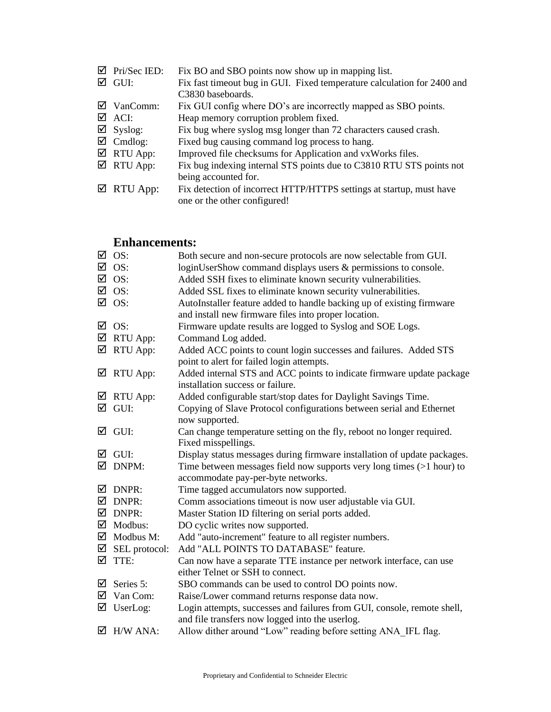| Pri/Sec IED: | Fix BO and SBO points now show up in mapping list.                                                                                                                                                           |
|--------------|--------------------------------------------------------------------------------------------------------------------------------------------------------------------------------------------------------------|
|              | Fix fast timeout bug in GUI. Fixed temperature calculation for 2400 and                                                                                                                                      |
|              | C3830 baseboards.                                                                                                                                                                                            |
|              | Fix GUI config where DO's are incorrectly mapped as SBO points.                                                                                                                                              |
|              | Heap memory corruption problem fixed.                                                                                                                                                                        |
|              | Fix bug where syslog msg longer than 72 characters caused crash.                                                                                                                                             |
|              | Fixed bug causing command log process to hang.                                                                                                                                                               |
|              | Improved file checksums for Application and vxWorks files.                                                                                                                                                   |
|              | Fix bug indexing internal STS points due to C3810 RTU STS points not                                                                                                                                         |
|              | being accounted for.                                                                                                                                                                                         |
|              | Fix detection of incorrect HTTP/HTTPS settings at startup, must have                                                                                                                                         |
|              | one or the other configured!                                                                                                                                                                                 |
|              | $\boxtimes$ GUI:<br>$\boxtimes$ VanComm:<br>$\boxtimes$ ACI:<br>$\boxtimes$ Syslog:<br>$\overline{\mathcal{A}}$ Cmdlog:<br>$\overline{\mathcal{A}}$ RTU App:<br>$\boxtimes$ RTU App:<br>$\boxtimes$ RTU App: |

### **Enhancements:**

| ☑ | OS:                                | Both secure and non-secure protocols are now selectable from GUI.        |
|---|------------------------------------|--------------------------------------------------------------------------|
|   | $\overline{2}$ OS:                 | loginUserShow command displays users & permissions to console.           |
|   | $\overline{2}$ OS:                 | Added SSH fixes to eliminate known security vulnerabilities.             |
|   | $\boxtimes$ OS:                    | Added SSL fixes to eliminate known security vulnerabilities.             |
|   | $\overline{2}$ OS:                 | AutoInstaller feature added to handle backing up of existing firmware    |
|   |                                    | and install new firmware files into proper location.                     |
| ☑ | OS:                                | Firmware update results are logged to Syslog and SOE Logs.               |
|   | $\boxtimes$ RTU App:               | Command Log added.                                                       |
|   | $\boxtimes$ RTU App:               | Added ACC points to count login successes and failures. Added STS        |
|   |                                    | point to alert for failed login attempts.                                |
|   | $\boxtimes$ RTU App:               | Added internal STS and ACC points to indicate firmware update package    |
|   |                                    | installation success or failure.                                         |
|   | $\boxtimes$ RTU App:               | Added configurable start/stop dates for Daylight Savings Time.           |
|   | $\boxtimes$ GUI:                   | Copying of Slave Protocol configurations between serial and Ethernet     |
|   |                                    | now supported.                                                           |
| ☑ | GUI:                               | Can change temperature setting on the fly, reboot no longer required.    |
|   |                                    | Fixed misspellings.                                                      |
|   | $\boxtimes$ GUI:                   | Display status messages during firmware installation of update packages. |
|   | $\overline{\mathbf{2}}$ DNPM:      | Time between messages field now supports very long times $(>1$ hour) to  |
|   |                                    | accommodate pay-per-byte networks.                                       |
| ☑ | DNPR:                              | Time tagged accumulators now supported.                                  |
|   | $\boxtimes$ DNPR:                  | Comm associations timeout is now user adjustable via GUI.                |
|   | $\boxtimes$ DNPR:                  | Master Station ID filtering on serial ports added.                       |
|   | $\overline{\mathbf{2}}$ Modbus:    | DO cyclic writes now supported.                                          |
|   | $\overline{\mathcal{A}}$ Modbus M: | Add "auto-increment" feature to all register numbers.                    |
|   | $\boxtimes$ SEL protocol:          | Add "ALL POINTS TO DATABASE" feature.                                    |
|   | $\boxtimes$ TTE:                   | Can now have a separate TTE instance per network interface, can use      |
|   |                                    | either Telnet or SSH to connect.                                         |
| ☑ | Series 5:                          | SBO commands can be used to control DO points now.                       |
|   | $\boxtimes$ Van Com:               | Raise/Lower command returns response data now.                           |
|   | $\triangledown$ UserLog:           | Login attempts, successes and failures from GUI, console, remote shell,  |
|   |                                    | and file transfers now logged into the userlog.                          |
|   | $\overline{\mathbf{2}}$ H/W ANA:   | Allow dither around "Low" reading before setting ANA IFL flag.           |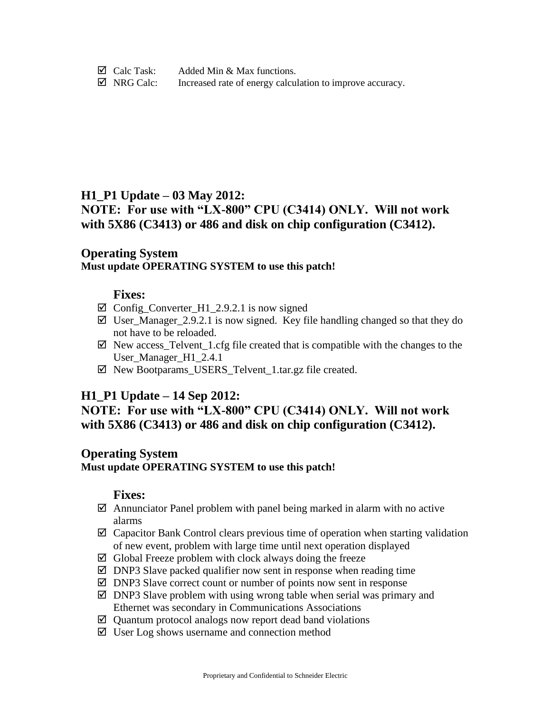$\boxtimes$  Calc Task: Added Min & Max functions.  $\boxtimes$  NRG Calc: Increased rate of energy calculation to improve accuracy.

### **H1\_P1 Update – 03 May 2012:**

# **NOTE: For use with "LX-800" CPU (C3414) ONLY. Will not work with 5X86 (C3413) or 486 and disk on chip configuration (C3412).**

### **Operating System Must update OPERATING SYSTEM to use this patch!**

### **Fixes:**

- $\boxtimes$  Config Converter\_H1\_2.9.2.1 is now signed
- $\boxtimes$  User\_Manager\_2.9.2.1 is now signed. Key file handling changed so that they do not have to be reloaded.
- $\boxtimes$  New access\_Telvent\_1.cfg file created that is compatible with the changes to the User Manager H1\_2.4.1
- $\boxtimes$  New Bootparams\_USERS\_Telvent\_1.tar.gz file created.

# **H1\_P1 Update – 14 Sep 2012:**

# **NOTE: For use with "LX-800" CPU (C3414) ONLY. Will not work with 5X86 (C3413) or 486 and disk on chip configuration (C3412).**

### **Operating System**

**Must update OPERATING SYSTEM to use this patch!**

- $\boxtimes$  Annunciator Panel problem with panel being marked in alarm with no active alarms
- $\boxtimes$  Capacitor Bank Control clears previous time of operation when starting validation of new event, problem with large time until next operation displayed
- $\boxtimes$  Global Freeze problem with clock always doing the freeze
- $\boxtimes$  DNP3 Slave packed qualifier now sent in response when reading time
- $\boxtimes$  DNP3 Slave correct count or number of points now sent in response
- $\boxtimes$  DNP3 Slave problem with using wrong table when serial was primary and Ethernet was secondary in Communications Associations
- $\boxtimes$  Quantum protocol analogs now report dead band violations
- $\boxtimes$  User Log shows username and connection method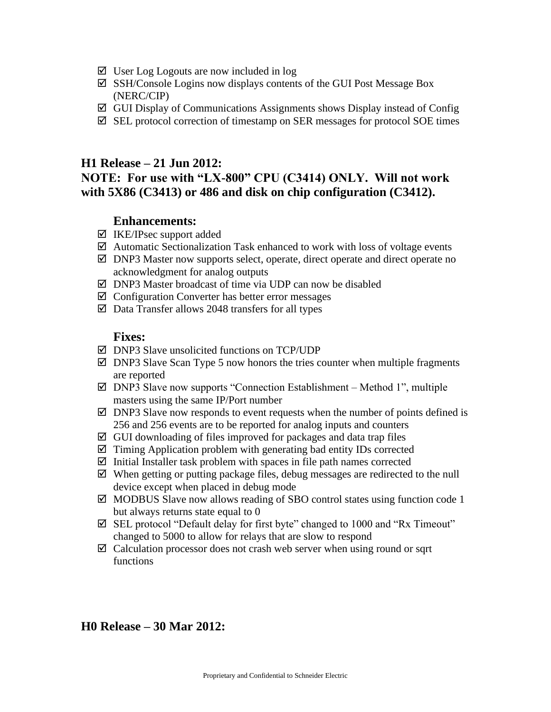- $\boxtimes$  User Log Logouts are now included in log
- $\boxtimes$  SSH/Console Logins now displays contents of the GUI Post Message Box (NERC/CIP)
- GUI Display of Communications Assignments shows Display instead of Config
- $\boxtimes$  SEL protocol correction of timestamp on SER messages for protocol SOE times

#### **H1 Release – 21 Jun 2012:**

# **NOTE: For use with "LX-800" CPU (C3414) ONLY. Will not work with 5X86 (C3413) or 486 and disk on chip configuration (C3412).**

#### **Enhancements:**

- $\boxtimes$  IKE/IPsec support added
- $\boxtimes$  Automatic Sectionalization Task enhanced to work with loss of voltage events
- $\boxtimes$  DNP3 Master now supports select, operate, direct operate and direct operate no acknowledgment for analog outputs
- $\boxtimes$  DNP3 Master broadcast of time via UDP can now be disabled
- $\boxtimes$  Configuration Converter has better error messages
- $\boxtimes$  Data Transfer allows 2048 transfers for all types

#### **Fixes:**

- $\boxtimes$  DNP3 Slave unsolicited functions on TCP/UDP
- $\boxtimes$  DNP3 Slave Scan Type 5 now honors the tries counter when multiple fragments are reported
- $\boxtimes$  DNP3 Slave now supports "Connection Establishment Method 1", multiple masters using the same IP/Port number
- $\boxtimes$  DNP3 Slave now responds to event requests when the number of points defined is 256 and 256 events are to be reported for analog inputs and counters
- $\boxtimes$  GUI downloading of files improved for packages and data trap files
- $\boxtimes$  Timing Application problem with generating bad entity IDs corrected
- $\boxtimes$  Initial Installer task problem with spaces in file path names corrected
- $\boxtimes$  When getting or putting package files, debug messages are redirected to the null device except when placed in debug mode
- $\boxtimes$  MODBUS Slave now allows reading of SBO control states using function code 1 but always returns state equal to 0
- $\boxtimes$  SEL protocol "Default delay for first byte" changed to 1000 and "Rx Timeout" changed to 5000 to allow for relays that are slow to respond
- $\boxtimes$  Calculation processor does not crash web server when using round or sqrt functions

### **H0 Release – 30 Mar 2012:**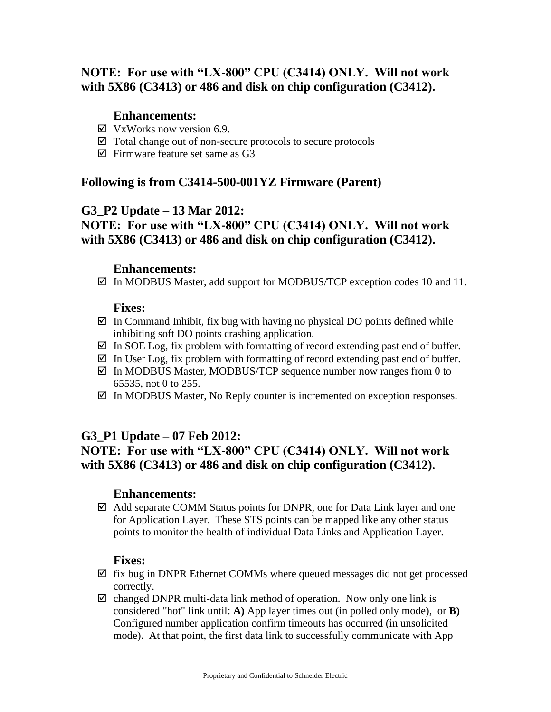# **NOTE: For use with "LX-800" CPU (C3414) ONLY. Will not work with 5X86 (C3413) or 486 and disk on chip configuration (C3412).**

### **Enhancements:**

- $\boxtimes$  VxWorks now version 6.9.
- Total change out of non-secure protocols to secure protocols
- $\boxtimes$  Firmware feature set same as G3

# **Following is from C3414-500-001YZ Firmware (Parent)**

## **G3\_P2 Update – 13 Mar 2012:**

# **NOTE: For use with "LX-800" CPU (C3414) ONLY. Will not work with 5X86 (C3413) or 486 and disk on chip configuration (C3412).**

### **Enhancements:**

 $\boxtimes$  In MODBUS Master, add support for MODBUS/TCP exception codes 10 and 11.

## **Fixes:**

- $\boxtimes$  In Command Inhibit, fix bug with having no physical DO points defined while inhibiting soft DO points crashing application.
- $\boxtimes$  In SOE Log, fix problem with formatting of record extending past end of buffer.
- $\boxtimes$  In User Log, fix problem with formatting of record extending past end of buffer.
- $\boxtimes$  In MODBUS Master, MODBUS/TCP sequence number now ranges from 0 to 65535, not 0 to 255.
- $\boxtimes$  In MODBUS Master, No Reply counter is incremented on exception responses.

# **G3\_P1 Update – 07 Feb 2012:**

# **NOTE: For use with "LX-800" CPU (C3414) ONLY. Will not work with 5X86 (C3413) or 486 and disk on chip configuration (C3412).**

### **Enhancements:**

 $\boxtimes$  Add separate COMM Status points for DNPR, one for Data Link layer and one for Application Layer. These STS points can be mapped like any other status points to monitor the health of individual Data Links and Application Layer.

- $\boxtimes$  fix bug in DNPR Ethernet COMMs where queued messages did not get processed correctly.
- $\boxtimes$  changed DNPR multi-data link method of operation. Now only one link is considered "hot" link until: **A)** App layer times out (in polled only mode), or **B)** Configured number application confirm timeouts has occurred (in unsolicited mode). At that point, the first data link to successfully communicate with App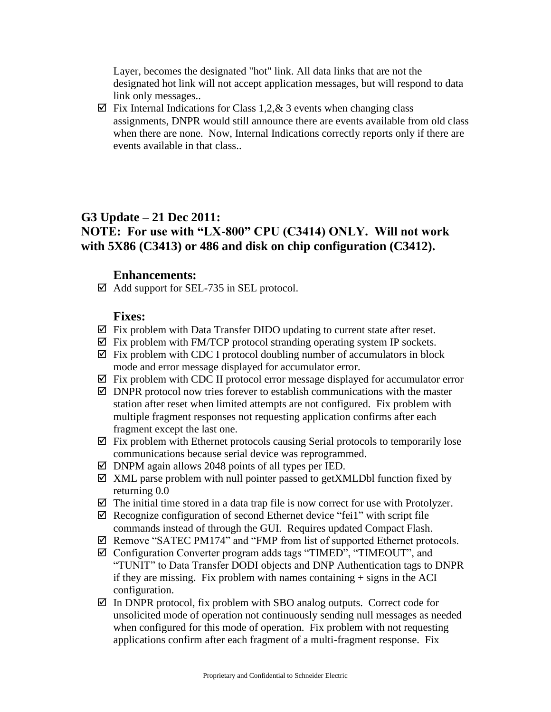Layer, becomes the designated "hot" link. All data links that are not the designated hot link will not accept application messages, but will respond to data link only messages..

 $\boxtimes$  Fix Internal Indications for Class 1,2, & 3 events when changing class assignments, DNPR would still announce there are events available from old class when there are none. Now, Internal Indications correctly reports only if there are events available in that class..

# **G3 Update – 21 Dec 2011: NOTE: For use with "LX-800" CPU (C3414) ONLY. Will not work with 5X86 (C3413) or 486 and disk on chip configuration (C3412).**

#### **Enhancements:**

 $\boxtimes$  Add support for SEL-735 in SEL protocol.

- $\boxtimes$  Fix problem with Data Transfer DIDO updating to current state after reset.
- $\boxtimes$  Fix problem with FM/TCP protocol stranding operating system IP sockets.
- $\boxtimes$  Fix problem with CDC I protocol doubling number of accumulators in block mode and error message displayed for accumulator error.
- $\boxtimes$  Fix problem with CDC II protocol error message displayed for accumulator error
- $\boxtimes$  DNPR protocol now tries forever to establish communications with the master station after reset when limited attempts are not configured. Fix problem with multiple fragment responses not requesting application confirms after each fragment except the last one.
- $\boxtimes$  Fix problem with Ethernet protocols causing Serial protocols to temporarily lose communications because serial device was reprogrammed.
- $\boxtimes$  DNPM again allows 2048 points of all types per IED.
- $\boxtimes$  XML parse problem with null pointer passed to getXMLDbl function fixed by returning 0.0
- $\boxtimes$  The initial time stored in a data trap file is now correct for use with Protolyzer.
- $\boxtimes$  Recognize configuration of second Ethernet device "feil" with script file commands instead of through the GUI. Requires updated Compact Flash.
- Remove "SATEC PM174" and "FMP from list of supported Ethernet protocols.
- Configuration Converter program adds tags "TIMED", "TIMEOUT", and "TUNIT" to Data Transfer DODI objects and DNP Authentication tags to DNPR if they are missing. Fix problem with names containing  $+$  signs in the ACI configuration.
- $\boxtimes$  In DNPR protocol, fix problem with SBO analog outputs. Correct code for unsolicited mode of operation not continuously sending null messages as needed when configured for this mode of operation. Fix problem with not requesting applications confirm after each fragment of a multi-fragment response. Fix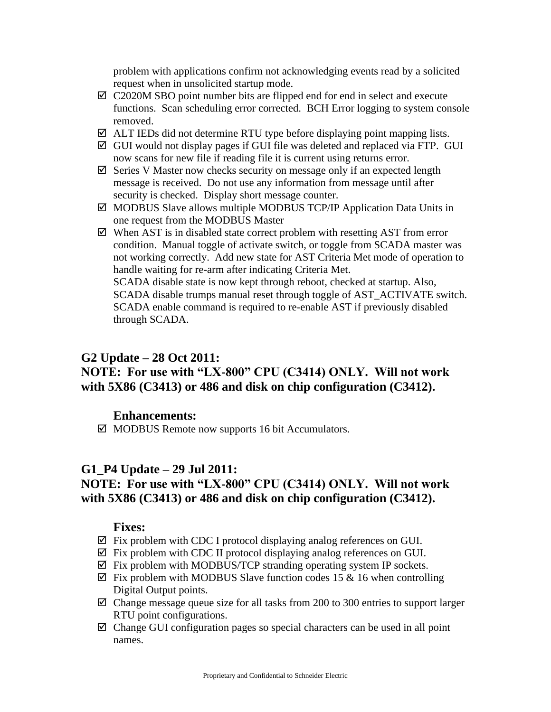problem with applications confirm not acknowledging events read by a solicited request when in unsolicited startup mode.

- $\boxtimes$  C2020M SBO point number bits are flipped end for end in select and execute functions. Scan scheduling error corrected. BCH Error logging to system console removed.
- $\boxtimes$  ALT IEDs did not determine RTU type before displaying point mapping lists.
- $\boxtimes$  GUI would not display pages if GUI file was deleted and replaced via FTP. GUI now scans for new file if reading file it is current using returns error.
- $\boxtimes$  Series V Master now checks security on message only if an expected length message is received. Do not use any information from message until after security is checked. Display short message counter.
- $\boxtimes$  MODBUS Slave allows multiple MODBUS TCP/IP Application Data Units in one request from the MODBUS Master
- $\boxtimes$  When AST is in disabled state correct problem with resetting AST from error condition. Manual toggle of activate switch, or toggle from SCADA master was not working correctly. Add new state for AST Criteria Met mode of operation to handle waiting for re-arm after indicating Criteria Met. SCADA disable state is now kept through reboot, checked at startup. Also, SCADA disable trumps manual reset through toggle of AST\_ACTIVATE switch. SCADA enable command is required to re-enable AST if previously disabled

through SCADA.

### **G2 Update – 28 Oct 2011:**

# **NOTE: For use with "LX-800" CPU (C3414) ONLY. Will not work with 5X86 (C3413) or 486 and disk on chip configuration (C3412).**

### **Enhancements:**

 $\boxtimes$  MODBUS Remote now supports 16 bit Accumulators.

#### **G1\_P4 Update – 29 Jul 2011:**

# **NOTE: For use with "LX-800" CPU (C3414) ONLY. Will not work with 5X86 (C3413) or 486 and disk on chip configuration (C3412).**

- $\boxtimes$  Fix problem with CDC I protocol displaying analog references on GUI.
- $\boxtimes$  Fix problem with CDC II protocol displaying analog references on GUI.
- $\boxtimes$  Fix problem with MODBUS/TCP stranding operating system IP sockets.
- $\boxtimes$  Fix problem with MODBUS Slave function codes 15 & 16 when controlling Digital Output points.
- $\boxtimes$  Change message queue size for all tasks from 200 to 300 entries to support larger RTU point configurations.
- $\boxtimes$  Change GUI configuration pages so special characters can be used in all point names.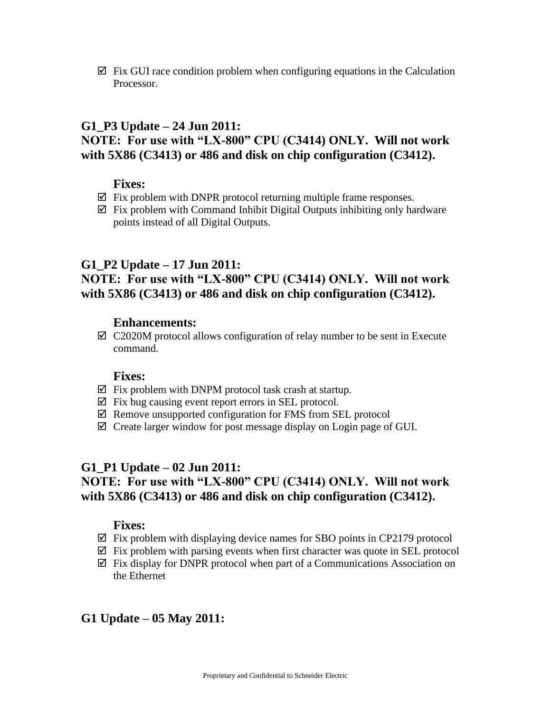$\boxtimes$  Fix GUI race condition problem when configuring equations in the Calculation Processor.

## **G1\_P3 Update – 24 Jun 2011: NOTE: For use with "LX-800" CPU (C3414) ONLY. Will not work with 5X86 (C3413) or 486 and disk on chip configuration (C3412).**

### **Fixes:**

- $\boxtimes$  Fix problem with DNPR protocol returning multiple frame responses.
- $\boxtimes$  Fix problem with Command Inhibit Digital Outputs inhibiting only hardware points instead of all Digital Outputs.

## **G1\_P2 Update – 17 Jun 2011:**

# **NOTE: For use with "LX-800" CPU (C3414) ONLY. Will not work with 5X86 (C3413) or 486 and disk on chip configuration (C3412).**

### **Enhancements:**

 $\boxtimes$  C2020M protocol allows configuration of relay number to be sent in Execute command.

#### **Fixes:**

- $\boxtimes$  Fix problem with DNPM protocol task crash at startup.
- $\boxtimes$  Fix bug causing event report errors in SEL protocol.
- $\boxtimes$  Remove unsupported configuration for FMS from SEL protocol
- $\boxtimes$  Create larger window for post message display on Login page of GUI.

### **G1\_P1 Update – 02 Jun 2011:**

# **NOTE: For use with "LX-800" CPU (C3414) ONLY. Will not work with 5X86 (C3413) or 486 and disk on chip configuration (C3412).**

#### **Fixes:**

- $\boxtimes$  Fix problem with displaying device names for SBO points in CP2179 protocol
- $\boxtimes$  Fix problem with parsing events when first character was quote in SEL protocol
- $\boxtimes$  Fix display for DNPR protocol when part of a Communications Association on the Ethernet

# **G1 Update – 05 May 2011:**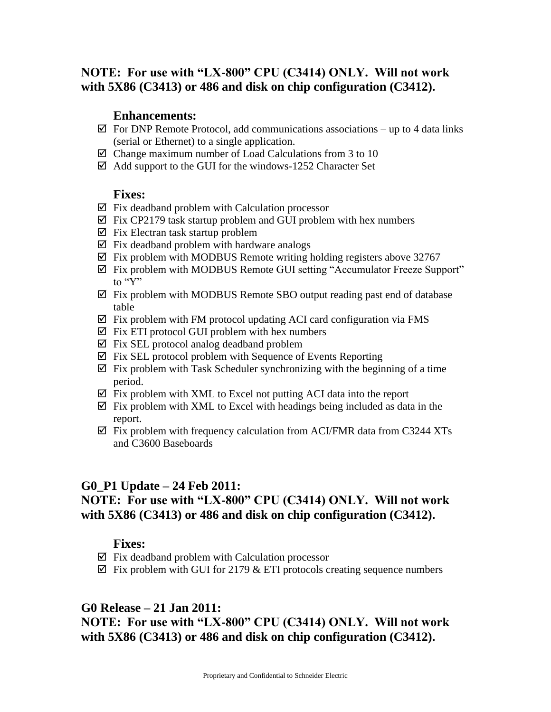# **NOTE: For use with "LX-800" CPU (C3414) ONLY. Will not work with 5X86 (C3413) or 486 and disk on chip configuration (C3412).**

#### **Enhancements:**

- $\boxtimes$  For DNP Remote Protocol, add communications associations up to 4 data links (serial or Ethernet) to a single application.
- $\boxtimes$  Change maximum number of Load Calculations from 3 to 10
- $\boxtimes$  Add support to the GUI for the windows-1252 Character Set

#### **Fixes:**

- $\boxtimes$  Fix deadband problem with Calculation processor
- $\boxtimes$  Fix CP2179 task startup problem and GUI problem with hex numbers
- $\boxtimes$  Fix Electran task startup problem
- $\boxtimes$  Fix deadband problem with hardware analogs
- $\boxtimes$  Fix problem with MODBUS Remote writing holding registers above 32767
- Fix problem with MODBUS Remote GUI setting "Accumulator Freeze Support" to "Y"
- $\boxtimes$  Fix problem with MODBUS Remote SBO output reading past end of database table
- $\boxtimes$  Fix problem with FM protocol updating ACI card configuration via FMS
- $\boxtimes$  Fix ETI protocol GUI problem with hex numbers
- $\boxtimes$  Fix SEL protocol analog deadband problem
- $\boxtimes$  Fix SEL protocol problem with Sequence of Events Reporting
- $\boxtimes$  Fix problem with Task Scheduler synchronizing with the beginning of a time period.
- $\boxtimes$  Fix problem with XML to Excel not putting ACI data into the report
- $\boxtimes$  Fix problem with XML to Excel with headings being included as data in the report.
- $\boxtimes$  Fix problem with frequency calculation from ACI/FMR data from C3244 XTs and C3600 Baseboards

# **G0\_P1 Update – 24 Feb 2011:**

# **NOTE: For use with "LX-800" CPU (C3414) ONLY. Will not work with 5X86 (C3413) or 486 and disk on chip configuration (C3412).**

#### **Fixes:**

- $\boxtimes$  Fix deadband problem with Calculation processor
- $\boxtimes$  Fix problem with GUI for 2179 & ETI protocols creating sequence numbers

### **G0 Release – 21 Jan 2011:**

# **NOTE: For use with "LX-800" CPU (C3414) ONLY. Will not work with 5X86 (C3413) or 486 and disk on chip configuration (C3412).**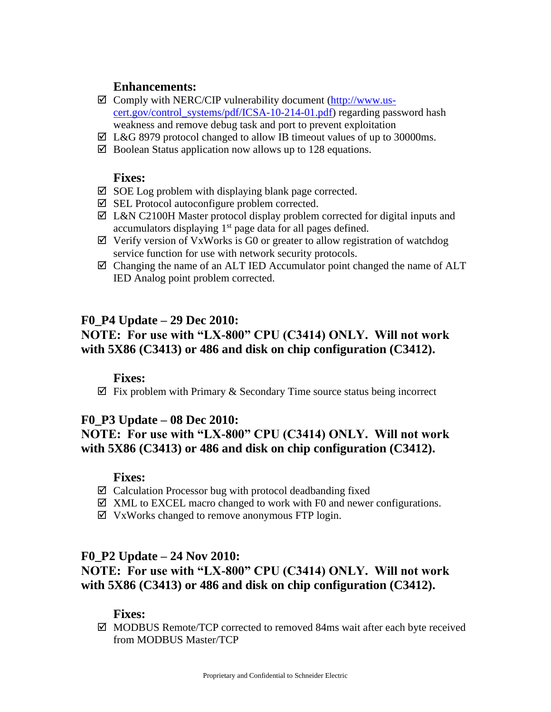### **Enhancements:**

- $\boxtimes$  Comply with NERC/CIP vulnerability document [\(http://www.us](http://www.us-cert.gov/control_systems/pdf/ICSA-10-214-01.pdf)[cert.gov/control\\_systems/pdf/ICSA-10-214-01.pdf\)](http://www.us-cert.gov/control_systems/pdf/ICSA-10-214-01.pdf) regarding password hash weakness and remove debug task and port to prevent exploitation
- $\boxtimes$  L&G 8979 protocol changed to allow IB timeout values of up to 30000ms.
- $\boxtimes$  Boolean Status application now allows up to 128 equations.

### **Fixes:**

- $\boxtimes$  SOE Log problem with displaying blank page corrected.
- $\boxtimes$  SEL Protocol autoconfigure problem corrected.
- $\boxtimes$  L&N C2100H Master protocol display problem corrected for digital inputs and accumulators displaying  $1<sup>st</sup>$  page data for all pages defined.
- $\boxtimes$  Verify version of VxWorks is G0 or greater to allow registration of watchdog service function for use with network security protocols.
- $\boxtimes$  Changing the name of an ALT IED Accumulator point changed the name of ALT IED Analog point problem corrected.

## **F0\_P4 Update – 29 Dec 2010:**

# **NOTE: For use with "LX-800" CPU (C3414) ONLY. Will not work with 5X86 (C3413) or 486 and disk on chip configuration (C3412).**

#### **Fixes:**

 $\boxtimes$  Fix problem with Primary & Secondary Time source status being incorrect

# **F0\_P3 Update – 08 Dec 2010:**

# **NOTE: For use with "LX-800" CPU (C3414) ONLY. Will not work with 5X86 (C3413) or 486 and disk on chip configuration (C3412).**

#### **Fixes:**

- $\boxtimes$  Calculation Processor bug with protocol deadbanding fixed
- $\boxtimes$  XML to EXCEL macro changed to work with F0 and newer configurations.
- $\boxtimes$  VxWorks changed to remove anonymous FTP login.

### **F0\_P2 Update – 24 Nov 2010:**

# **NOTE: For use with "LX-800" CPU (C3414) ONLY. Will not work with 5X86 (C3413) or 486 and disk on chip configuration (C3412).**

#### **Fixes:**

 $\boxtimes$  MODBUS Remote/TCP corrected to removed 84ms wait after each byte received from MODBUS Master/TCP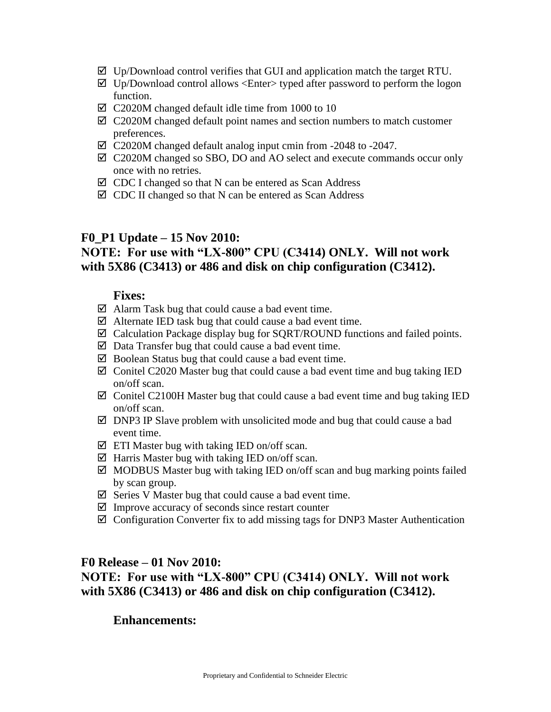- $\boxtimes$  Up/Download control verifies that GUI and application match the target RTU.
- $\boxtimes$  Up/Download control allows <Enter> typed after password to perform the logon function.
- $\boxtimes$  C2020M changed default idle time from 1000 to 10
- $\boxtimes$  C2020M changed default point names and section numbers to match customer preferences.
- C2020M changed default analog input cmin from -2048 to -2047.
- C2020M changed so SBO, DO and AO select and execute commands occur only once with no retries.
- $\boxtimes$  CDC I changed so that N can be entered as Scan Address
- $\boxtimes$  CDC II changed so that N can be entered as Scan Address

#### **F0\_P1 Update – 15 Nov 2010:**

# **NOTE: For use with "LX-800" CPU (C3414) ONLY. Will not work with 5X86 (C3413) or 486 and disk on chip configuration (C3412).**

#### **Fixes:**

- $\boxtimes$  Alarm Task bug that could cause a bad event time.
- $\boxtimes$  Alternate IED task bug that could cause a bad event time.
- Calculation Package display bug for SQRT/ROUND functions and failed points.
- $\boxtimes$  Data Transfer bug that could cause a bad event time.
- $\boxtimes$  Boolean Status bug that could cause a bad event time.
- $\boxtimes$  Conitel C2020 Master bug that could cause a bad event time and bug taking IED on/off scan.
- $\boxtimes$  Conitel C2100H Master bug that could cause a bad event time and bug taking IED on/off scan.
- $\boxtimes$  DNP3 IP Slave problem with unsolicited mode and bug that could cause a bad event time.
- $\boxtimes$  ETI Master bug with taking IED on/off scan.
- $\boxtimes$  Harris Master bug with taking IED on/off scan.
- $\boxtimes$  MODBUS Master bug with taking IED on/off scan and bug marking points failed by scan group.
- $\boxtimes$  Series V Master bug that could cause a bad event time.
- $\boxtimes$  Improve accuracy of seconds since restart counter
- $\boxtimes$  Configuration Converter fix to add missing tags for DNP3 Master Authentication

#### **F0 Release – 01 Nov 2010:**

# **NOTE: For use with "LX-800" CPU (C3414) ONLY. Will not work with 5X86 (C3413) or 486 and disk on chip configuration (C3412).**

#### **Enhancements:**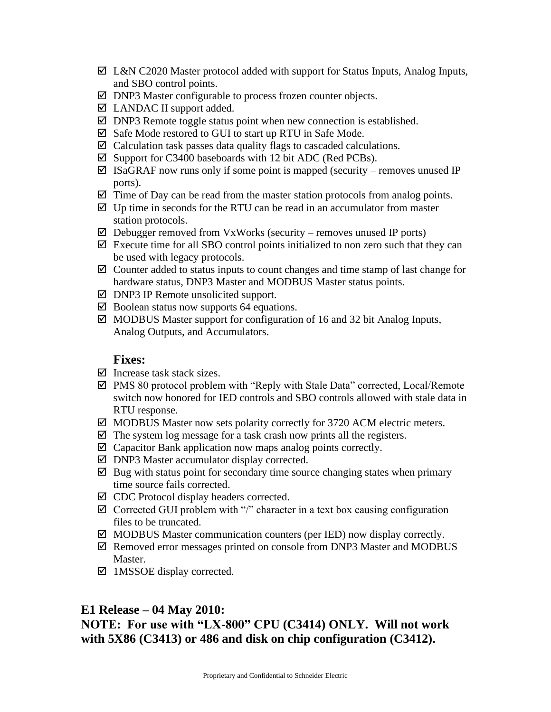- $\boxtimes$  L&N C2020 Master protocol added with support for Status Inputs, Analog Inputs, and SBO control points.
- $\boxtimes$  DNP3 Master configurable to process frozen counter objects.
- $\boxtimes$  LANDAC II support added.
- $\boxtimes$  DNP3 Remote toggle status point when new connection is established.
- $\boxtimes$  Safe Mode restored to GUI to start up RTU in Safe Mode.
- $\boxtimes$  Calculation task passes data quality flags to cascaded calculations.
- $\boxtimes$  Support for C3400 baseboards with 12 bit ADC (Red PCBs).
- $\boxtimes$  ISaGRAF now runs only if some point is mapped (security removes unused IP ports).
- $\boxtimes$  Time of Day can be read from the master station protocols from analog points.
- $\boxtimes$  Up time in seconds for the RTU can be read in an accumulator from master station protocols.
- $\boxtimes$  Debugger removed from VxWorks (security removes unused IP ports)
- $\boxtimes$  Execute time for all SBO control points initialized to non zero such that they can be used with legacy protocols.
- $\boxtimes$  Counter added to status inputs to count changes and time stamp of last change for hardware status, DNP3 Master and MODBUS Master status points.
- $\boxtimes$  DNP3 IP Remote unsolicited support.
- $\boxtimes$  Boolean status now supports 64 equations.
- $\boxtimes$  MODBUS Master support for configuration of 16 and 32 bit Analog Inputs, Analog Outputs, and Accumulators.

#### **Fixes:**

- $\triangleright$  Increase task stack sizes.
- PMS 80 protocol problem with "Reply with Stale Data" corrected, Local/Remote switch now honored for IED controls and SBO controls allowed with stale data in RTU response.
- $\boxtimes$  MODBUS Master now sets polarity correctly for 3720 ACM electric meters.
- $\boxtimes$  The system log message for a task crash now prints all the registers.
- $\boxtimes$  Capacitor Bank application now maps analog points correctly.
- DNP3 Master accumulator display corrected.
- $\boxtimes$  Bug with status point for secondary time source changing states when primary time source fails corrected.
- $\boxtimes$  CDC Protocol display headers corrected.
- $\boxtimes$  Corrected GUI problem with "/" character in a text box causing configuration files to be truncated.
- $\boxtimes$  MODBUS Master communication counters (per IED) now display correctly.
- $\boxtimes$  Removed error messages printed on console from DNP3 Master and MODBUS Master.
- $\boxtimes$  1MSSOE display corrected.

### **E1 Release – 04 May 2010:**

**NOTE: For use with "LX-800" CPU (C3414) ONLY. Will not work with 5X86 (C3413) or 486 and disk on chip configuration (C3412).**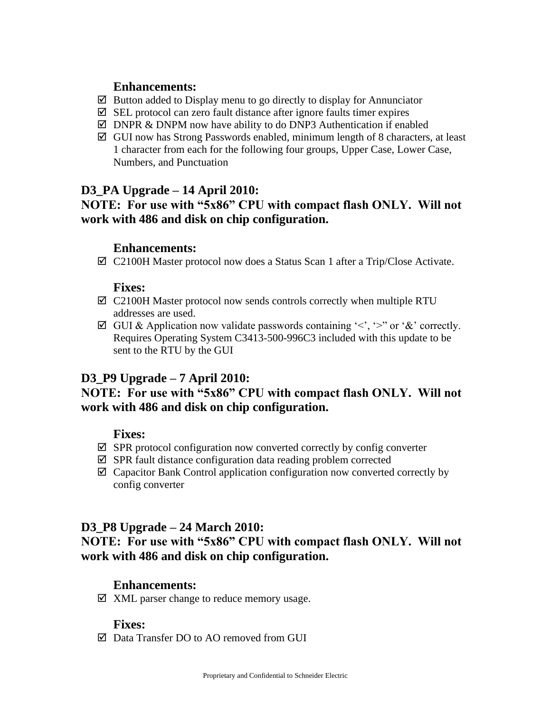## **Enhancements:**

- $\boxtimes$  Button added to Display menu to go directly to display for Annunciator
- $\boxtimes$  SEL protocol can zero fault distance after ignore faults timer expires
- $\boxtimes$  DNPR & DNPM now have ability to do DNP3 Authentication if enabled
- $\boxtimes$  GUI now has Strong Passwords enabled, minimum length of 8 characters, at least 1 character from each for the following four groups, Upper Case, Lower Case, Numbers, and Punctuation

# **D3\_PA Upgrade – 14 April 2010:**

# **NOTE: For use with "5x86" CPU with compact flash ONLY. Will not work with 486 and disk on chip configuration.**

# **Enhancements:**

C2100H Master protocol now does a Status Scan 1 after a Trip/Close Activate.

## **Fixes:**

- $\boxtimes$  C2100H Master protocol now sends controls correctly when multiple RTU addresses are used.
- $\boxtimes$  GUI & Application now validate passwords containing '<', '>" or '&' correctly. Requires Operating System C3413-500-996C3 included with this update to be sent to the RTU by the GUI

# **D3\_P9 Upgrade – 7 April 2010:**

# **NOTE: For use with "5x86" CPU with compact flash ONLY. Will not work with 486 and disk on chip configuration.**

### **Fixes:**

- $\boxtimes$  SPR protocol configuration now converted correctly by config converter
- $\boxtimes$  SPR fault distance configuration data reading problem corrected
- $\boxtimes$  Capacitor Bank Control application configuration now converted correctly by config converter

# **D3\_P8 Upgrade – 24 March 2010:**

**NOTE: For use with "5x86" CPU with compact flash ONLY. Will not work with 486 and disk on chip configuration.**

# **Enhancements:**

 $\boxtimes$  XML parser change to reduce memory usage.

### **Fixes:**

Data Transfer DO to AO removed from GUI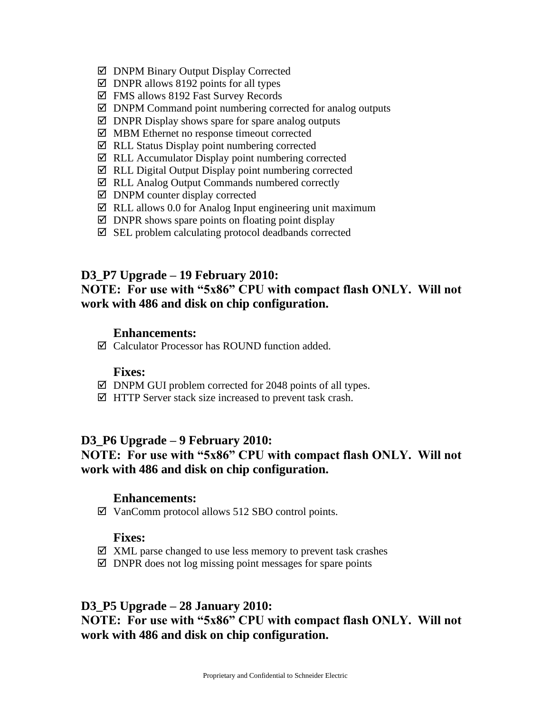- DNPM Binary Output Display Corrected
- $\boxtimes$  DNPR allows 8192 points for all types
- FMS allows 8192 Fast Survey Records
- $\boxtimes$  DNPM Command point numbering corrected for analog outputs
- $\boxtimes$  DNPR Display shows spare for spare analog outputs
- MBM Ethernet no response timeout corrected
- $\boxtimes$  RLL Status Display point numbering corrected
- $\boxtimes$  RLL Accumulator Display point numbering corrected
- $\boxtimes$  RLL Digital Output Display point numbering corrected
- RLL Analog Output Commands numbered correctly
- $\boxtimes$  DNPM counter display corrected
- $\boxtimes$  RLL allows 0.0 for Analog Input engineering unit maximum
- $\boxtimes$  DNPR shows spare points on floating point display
- $\boxtimes$  SEL problem calculating protocol deadbands corrected

### **D3\_P7 Upgrade – 19 February 2010:**

# **NOTE: For use with "5x86" CPU with compact flash ONLY. Will not work with 486 and disk on chip configuration.**

## **Enhancements:**

Calculator Processor has ROUND function added.

#### **Fixes:**

- $\boxtimes$  DNPM GUI problem corrected for 2048 points of all types.
- $\boxtimes$  HTTP Server stack size increased to prevent task crash.

## **D3\_P6 Upgrade – 9 February 2010: NOTE: For use with "5x86" CPU with compact flash ONLY. Will not work with 486 and disk on chip configuration.**

### **Enhancements:**

VanComm protocol allows 512 SBO control points.

#### **Fixes:**

- $\boxtimes$  XML parse changed to use less memory to prevent task crashes
- $\boxtimes$  DNPR does not log missing point messages for spare points

### **D3\_P5 Upgrade – 28 January 2010:**

# **NOTE: For use with "5x86" CPU with compact flash ONLY. Will not work with 486 and disk on chip configuration.**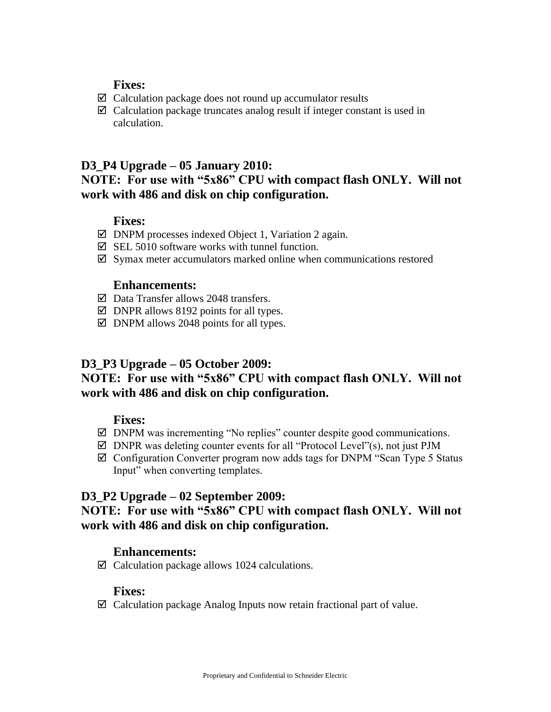## **Fixes:**

- $\boxtimes$  Calculation package does not round up accumulator results
- $\boxtimes$  Calculation package truncates analog result if integer constant is used in calculation.

### **D3\_P4 Upgrade – 05 January 2010:**

# **NOTE: For use with "5x86" CPU with compact flash ONLY. Will not work with 486 and disk on chip configuration.**

### **Fixes:**

- $\boxtimes$  DNPM processes indexed Object 1, Variation 2 again.
- $\boxtimes$  SEL 5010 software works with tunnel function.
- $\boxtimes$  Symax meter accumulators marked online when communications restored

### **Enhancements:**

- $\boxtimes$  Data Transfer allows 2048 transfers.
- $\boxtimes$  DNPR allows 8192 points for all types.
- $\boxtimes$  DNPM allows 2048 points for all types.

### **D3\_P3 Upgrade – 05 October 2009:**

# **NOTE: For use with "5x86" CPU with compact flash ONLY. Will not work with 486 and disk on chip configuration.**

### **Fixes:**

- $\boxtimes$  DNPM was incrementing "No replies" counter despite good communications.
- $\boxtimes$  DNPR was deleting counter events for all "Protocol Level"(s), not just PJM
- $\boxtimes$  Configuration Converter program now adds tags for DNPM "Scan Type 5 Status" Input" when converting templates.

# **D3\_P2 Upgrade – 02 September 2009:**

## **NOTE: For use with "5x86" CPU with compact flash ONLY. Will not work with 486 and disk on chip configuration.**

### **Enhancements:**

 $\boxtimes$  Calculation package allows 1024 calculations.

#### **Fixes:**

 $\boxtimes$  Calculation package Analog Inputs now retain fractional part of value.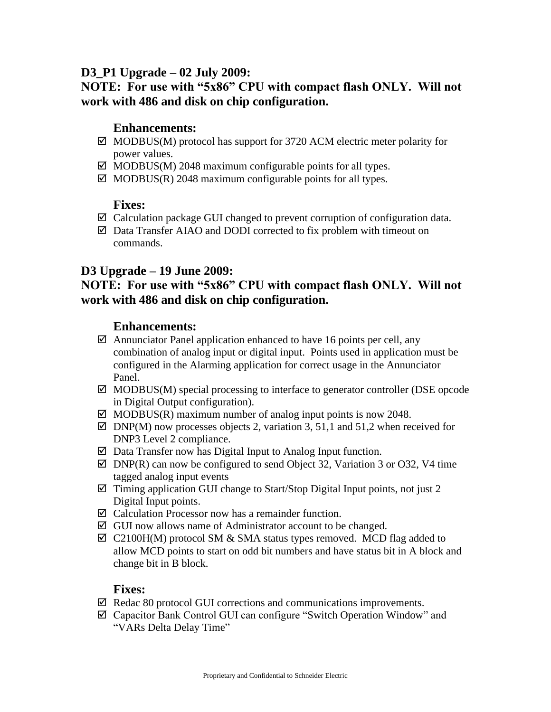# **D3\_P1 Upgrade – 02 July 2009:**

# **NOTE: For use with "5x86" CPU with compact flash ONLY. Will not work with 486 and disk on chip configuration.**

### **Enhancements:**

- $\boxtimes$  MODBUS(M) protocol has support for 3720 ACM electric meter polarity for power values.
- $\boxtimes$  MODBUS(M) 2048 maximum configurable points for all types.
- $\boxtimes$  MODBUS(R) 2048 maximum configurable points for all types.

### **Fixes:**

- $\boxtimes$  Calculation package GUI changed to prevent corruption of configuration data.
- $\boxtimes$  Data Transfer AIAO and DODI corrected to fix problem with timeout on commands.

## **D3 Upgrade – 19 June 2009:**

## **NOTE: For use with "5x86" CPU with compact flash ONLY. Will not work with 486 and disk on chip configuration.**

### **Enhancements:**

- $\boxtimes$  Annunciator Panel application enhanced to have 16 points per cell, any combination of analog input or digital input. Points used in application must be configured in the Alarming application for correct usage in the Annunciator Panel.
- $\boxtimes$  MODBUS(M) special processing to interface to generator controller (DSE opcode in Digital Output configuration).
- $\boxtimes$  MODBUS(R) maximum number of analog input points is now 2048.
- $\boxtimes$  DNP(M) now processes objects 2, variation 3, 51,1 and 51,2 when received for DNP3 Level 2 compliance.
- $\boxtimes$  Data Transfer now has Digital Input to Analog Input function.
- $\boxtimes$  DNP(R) can now be configured to send Object 32, Variation 3 or O32, V4 time tagged analog input events
- $\boxtimes$  Timing application GUI change to Start/Stop Digital Input points, not just 2 Digital Input points.
- $\boxtimes$  Calculation Processor now has a remainder function.
- $\boxtimes$  GUI now allows name of Administrator account to be changed.
- $\boxtimes$  C2100H(M) protocol SM & SMA status types removed. MCD flag added to allow MCD points to start on odd bit numbers and have status bit in A block and change bit in B block.

- $\boxtimes$  Redac 80 protocol GUI corrections and communications improvements.
- Capacitor Bank Control GUI can configure "Switch Operation Window" and "VARs Delta Delay Time"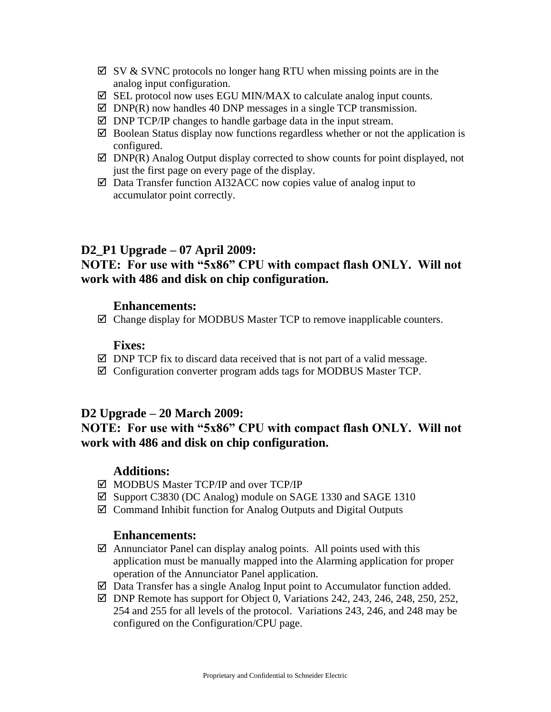- $\boxtimes$  SV & SVNC protocols no longer hang RTU when missing points are in the analog input configuration.
- $\boxtimes$  SEL protocol now uses EGU MIN/MAX to calculate analog input counts.
- $\boxtimes$  DNP(R) now handles 40 DNP messages in a single TCP transmission.
- $\boxtimes$  DNP TCP/IP changes to handle garbage data in the input stream.
- $\boxtimes$  Boolean Status display now functions regardless whether or not the application is configured.
- $\boxtimes$  DNP(R) Analog Output display corrected to show counts for point displayed, not just the first page on every page of the display.
- $\boxtimes$  Data Transfer function AI32ACC now copies value of analog input to accumulator point correctly.

# **D2\_P1 Upgrade – 07 April 2009:**

# **NOTE: For use with "5x86" CPU with compact flash ONLY. Will not work with 486 and disk on chip configuration.**

### **Enhancements:**

 $\boxtimes$  Change display for MODBUS Master TCP to remove inapplicable counters.

### **Fixes:**

- $\boxtimes$  DNP TCP fix to discard data received that is not part of a valid message.
- Configuration converter program adds tags for MODBUS Master TCP.

### **D2 Upgrade – 20 March 2009:**

**NOTE: For use with "5x86" CPU with compact flash ONLY. Will not work with 486 and disk on chip configuration.**

# **Additions:**

- MODBUS Master TCP/IP and over TCP/IP
- Support C3830 (DC Analog) module on SAGE 1330 and SAGE 1310
- $\boxtimes$  Command Inhibit function for Analog Outputs and Digital Outputs

#### **Enhancements:**

- $\boxtimes$  Annunciator Panel can display analog points. All points used with this application must be manually mapped into the Alarming application for proper operation of the Annunciator Panel application.
- $\boxtimes$  Data Transfer has a single Analog Input point to Accumulator function added.
- $\boxtimes$  DNP Remote has support for Object 0, Variations 242, 243, 246, 248, 250, 252, 254 and 255 for all levels of the protocol. Variations 243, 246, and 248 may be configured on the Configuration/CPU page.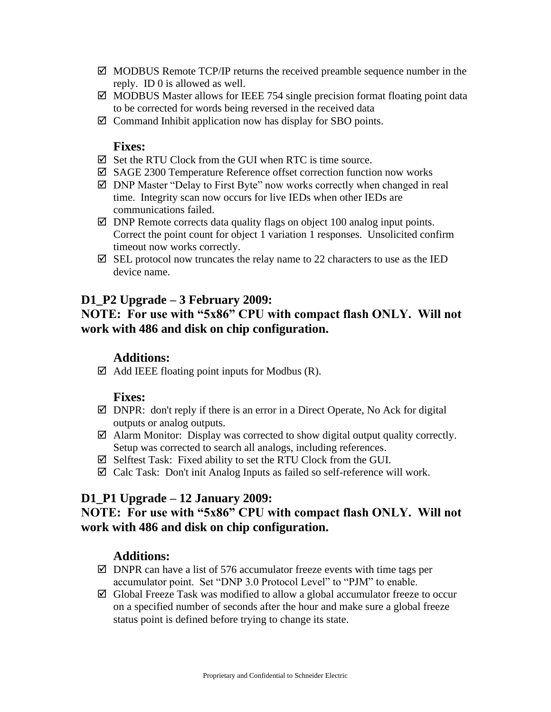- $\boxtimes$  MODBUS Remote TCP/IP returns the received preamble sequence number in the reply. ID 0 is allowed as well.
- $\boxtimes$  MODBUS Master allows for IEEE 754 single precision format floating point data to be corrected for words being reversed in the received data
- $\boxtimes$  Command Inhibit application now has display for SBO points.

#### **Fixes:**

- $\boxtimes$  Set the RTU Clock from the GUI when RTC is time source.
- SAGE 2300 Temperature Reference offset correction function now works
- DNP Master "Delay to First Byte" now works correctly when changed in real time. Integrity scan now occurs for live IEDs when other IEDs are communications failed.
- $\boxtimes$  DNP Remote corrects data quality flags on object 100 analog input points. Correct the point count for object 1 variation 1 responses. Unsolicited confirm timeout now works correctly.
- $\boxtimes$  SEL protocol now truncates the relay name to 22 characters to use as the IED device name.

## **D1\_P2 Upgrade – 3 February 2009:**

# **NOTE: For use with "5x86" CPU with compact flash ONLY. Will not work with 486 and disk on chip configuration.**

#### **Additions:**

 $\boxtimes$  Add IEEE floating point inputs for Modbus (R).

#### **Fixes:**

- $\boxtimes$  DNPR: don't reply if there is an error in a Direct Operate, No Ack for digital outputs or analog outputs.
- $\boxtimes$  Alarm Monitor: Display was corrected to show digital output quality correctly. Setup was corrected to search all analogs, including references.
- $\boxtimes$  Selftest Task: Fixed ability to set the RTU Clock from the GUI.
- $\boxtimes$  Calc Task: Don't init Analog Inputs as failed so self-reference will work.

### **D1\_P1 Upgrade – 12 January 2009:**

# **NOTE: For use with "5x86" CPU with compact flash ONLY. Will not work with 486 and disk on chip configuration.**

### **Additions:**

- $\boxtimes$  DNPR can have a list of 576 accumulator freeze events with time tags per accumulator point. Set "DNP 3.0 Protocol Level" to "PJM" to enable.
- $\boxtimes$  Global Freeze Task was modified to allow a global accumulator freeze to occur on a specified number of seconds after the hour and make sure a global freeze status point is defined before trying to change its state.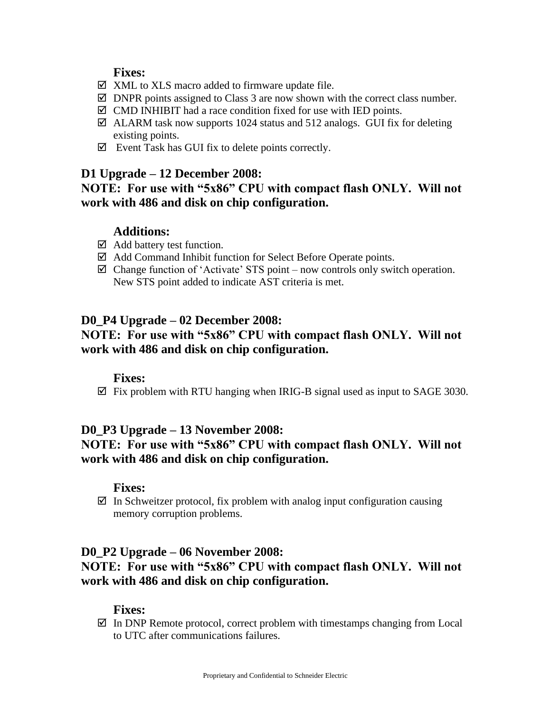### **Fixes:**

- $\boxtimes$  XML to XLS macro added to firmware update file.
- $\boxtimes$  DNPR points assigned to Class 3 are now shown with the correct class number.
- $\boxtimes$  CMD INHIBIT had a race condition fixed for use with IED points.
- $\boxtimes$  ALARM task now supports 1024 status and 512 analogs. GUI fix for deleting existing points.
- $\boxtimes$  Event Task has GUI fix to delete points correctly.

### **D1 Upgrade – 12 December 2008:**

**NOTE: For use with "5x86" CPU with compact flash ONLY. Will not work with 486 and disk on chip configuration.**

# **Additions:**

- $\boxtimes$  Add battery test function.
- Add Command Inhibit function for Select Before Operate points.
- $\boxtimes$  Change function of 'Activate' STS point now controls only switch operation. New STS point added to indicate AST criteria is met.

#### **D0\_P4 Upgrade – 02 December 2008:**

# **NOTE: For use with "5x86" CPU with compact flash ONLY. Will not work with 486 and disk on chip configuration.**

#### **Fixes:**

 $\boxtimes$  Fix problem with RTU hanging when IRIG-B signal used as input to SAGE 3030.

### **D0\_P3 Upgrade – 13 November 2008:**

# **NOTE: For use with "5x86" CPU with compact flash ONLY. Will not work with 486 and disk on chip configuration.**

#### **Fixes:**

 $\boxtimes$  In Schweitzer protocol, fix problem with analog input configuration causing memory corruption problems.

#### **D0\_P2 Upgrade – 06 November 2008:**

# **NOTE: For use with "5x86" CPU with compact flash ONLY. Will not work with 486 and disk on chip configuration.**

#### **Fixes:**

 $\boxtimes$  In DNP Remote protocol, correct problem with timestamps changing from Local to UTC after communications failures.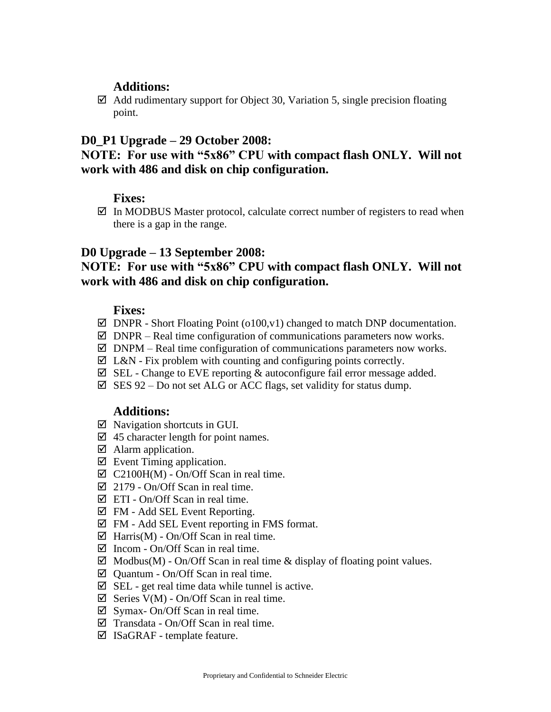## **Additions:**

 $\boxtimes$  Add rudimentary support for Object 30, Variation 5, single precision floating point.

### **D0\_P1 Upgrade – 29 October 2008:**

# **NOTE: For use with "5x86" CPU with compact flash ONLY. Will not work with 486 and disk on chip configuration.**

### **Fixes:**

 $\boxtimes$  In MODBUS Master protocol, calculate correct number of registers to read when there is a gap in the range.

### **D0 Upgrade – 13 September 2008:**

# **NOTE: For use with "5x86" CPU with compact flash ONLY. Will not work with 486 and disk on chip configuration.**

### **Fixes:**

- $\boxtimes$  DNPR Short Floating Point (o100, v1) changed to match DNP documentation.
- $\boxtimes$  DNPR Real time configuration of communications parameters now works.
- $\boxtimes$  DNPM Real time configuration of communications parameters now works.
- $\boxtimes$  L&N Fix problem with counting and configuring points correctly.
- $\boxtimes$  SEL Change to EVE reporting & autoconfigure fail error message added.
- $\boxtimes$  SES 92 Do not set ALG or ACC flags, set validity for status dump.

# **Additions:**

- $\boxtimes$  Navigation shortcuts in GUI.
- $\boxtimes$  45 character length for point names.
- $\boxtimes$  Alarm application.
- $\boxtimes$  Event Timing application.
- $\boxtimes$  C2100H(M) On/Off Scan in real time.
- $\overline{M}$  2179 On/Off Scan in real time.
- $\boxtimes$  ETI On/Off Scan in real time.
- $\boxtimes$  FM Add SEL Event Reporting.
- $\boxtimes$  FM Add SEL Event reporting in FMS format.
- $\boxtimes$  Harris(M) On/Off Scan in real time.
- $\boxtimes$  Incom On/Off Scan in real time.
- $\boxtimes$  Modbus(M) On/Off Scan in real time & display of floating point values.
- $\boxtimes$  Quantum On/Off Scan in real time.
- $\boxtimes$  SEL get real time data while tunnel is active.
- $\boxtimes$  Series V(M) On/Off Scan in real time.
- $\boxtimes$  Symax- On/Off Scan in real time.
- $\boxtimes$  Transdata On/Off Scan in real time.
- $\boxtimes$  ISaGRAF template feature.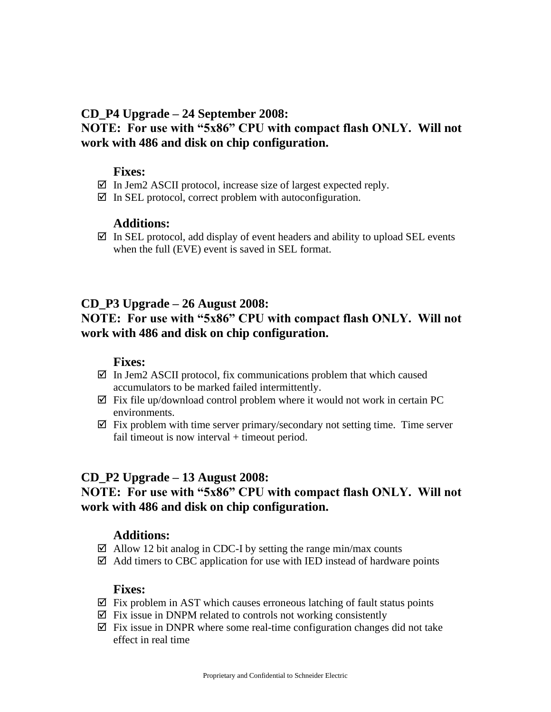### **CD\_P4 Upgrade – 24 September 2008:**

# **NOTE: For use with "5x86" CPU with compact flash ONLY. Will not work with 486 and disk on chip configuration.**

### **Fixes:**

- $\boxtimes$  In Jem2 ASCII protocol, increase size of largest expected reply.
- $\boxtimes$  In SEL protocol, correct problem with autoconfiguration.

### **Additions:**

 $\boxtimes$  In SEL protocol, add display of event headers and ability to upload SEL events when the full (EVE) event is saved in SEL format.

# **CD\_P3 Upgrade – 26 August 2008:**

# **NOTE: For use with "5x86" CPU with compact flash ONLY. Will not work with 486 and disk on chip configuration.**

### **Fixes:**

- $\boxtimes$  In Jem2 ASCII protocol, fix communications problem that which caused accumulators to be marked failed intermittently.
- $\boxtimes$  Fix file up/download control problem where it would not work in certain PC environments.
- $\boxtimes$  Fix problem with time server primary/secondary not setting time. Time server fail timeout is now interval  $+$  timeout period.

### **CD\_P2 Upgrade – 13 August 2008:**

# **NOTE: For use with "5x86" CPU with compact flash ONLY. Will not work with 486 and disk on chip configuration.**

### **Additions:**

- $\boxtimes$  Allow 12 bit analog in CDC-I by setting the range min/max counts
- $\boxtimes$  Add timers to CBC application for use with IED instead of hardware points

- $\boxtimes$  Fix problem in AST which causes erroneous latching of fault status points
- $\boxtimes$  Fix issue in DNPM related to controls not working consistently
- $\boxtimes$  Fix issue in DNPR where some real-time configuration changes did not take effect in real time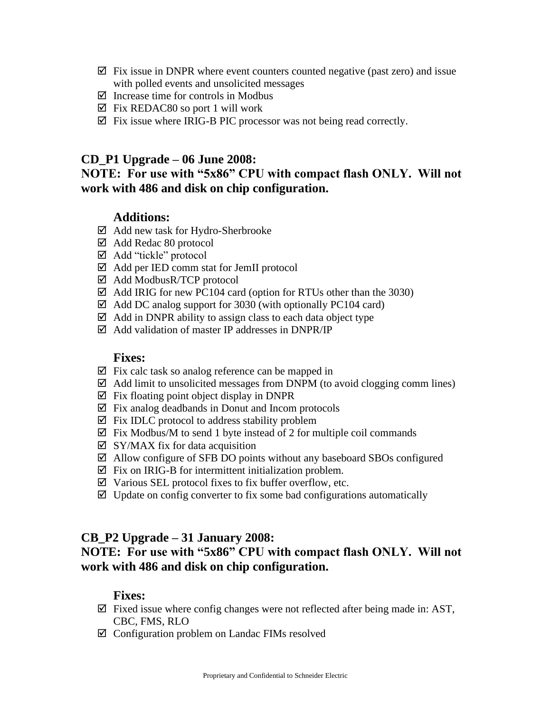- $\boxtimes$  Fix issue in DNPR where event counters counted negative (past zero) and issue with polled events and unsolicited messages
- $\boxtimes$  Increase time for controls in Modbus
- $\boxtimes$  Fix REDAC80 so port 1 will work
- $\boxtimes$  Fix issue where IRIG-B PIC processor was not being read correctly.

## **CD\_P1 Upgrade – 06 June 2008:**

## **NOTE: For use with "5x86" CPU with compact flash ONLY. Will not work with 486 and disk on chip configuration.**

# **Additions:**

- $\boxtimes$  Add new task for Hydro-Sherbrooke
- Add Redac 80 protocol
- Add "tickle" protocol
- Add per IED comm stat for JemII protocol
- Add ModbusR/TCP protocol
- $\boxtimes$  Add IRIG for new PC104 card (option for RTUs other than the 3030)
- $\boxtimes$  Add DC analog support for 3030 (with optionally PC104 card)
- $\boxtimes$  Add in DNPR ability to assign class to each data object type
- $\boxtimes$  Add validation of master IP addresses in DNPR/IP

#### **Fixes:**

- $\boxtimes$  Fix calc task so analog reference can be mapped in
- $\boxtimes$  Add limit to unsolicited messages from DNPM (to avoid clogging comm lines)
- $\boxtimes$  Fix floating point object display in DNPR
- $\boxtimes$  Fix analog deadbands in Donut and Incom protocols
- $\boxtimes$  Fix IDLC protocol to address stability problem
- $\boxtimes$  Fix Modbus/M to send 1 byte instead of 2 for multiple coil commands
- $\boxtimes$  SY/MAX fix for data acquisition
- $\boxtimes$  Allow configure of SFB DO points without any baseboard SBOs configured
- $\boxtimes$  Fix on IRIG-B for intermittent initialization problem.
- $\boxtimes$  Various SEL protocol fixes to fix buffer overflow, etc.
- $\boxtimes$  Update on config converter to fix some bad configurations automatically

### **CB\_P2 Upgrade – 31 January 2008:**

# **NOTE: For use with "5x86" CPU with compact flash ONLY. Will not work with 486 and disk on chip configuration.**

- $\boxtimes$  Fixed issue where config changes were not reflected after being made in: AST, CBC, FMS, RLO
- $\boxtimes$  Configuration problem on Landac FIMs resolved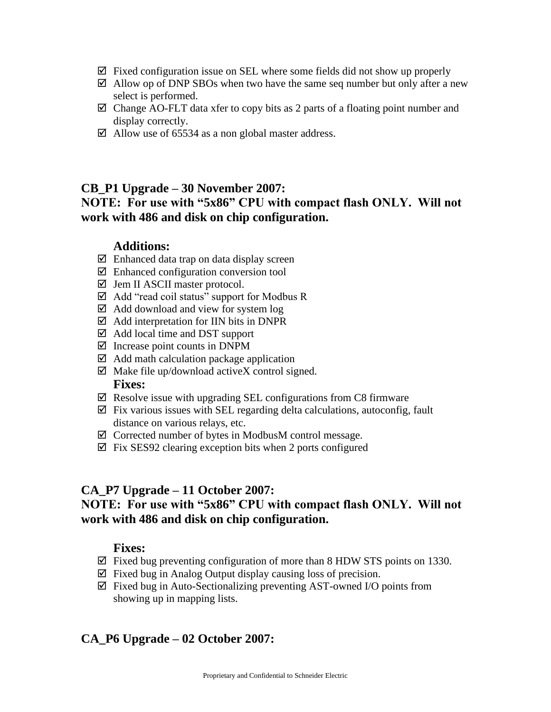- $\boxtimes$  Fixed configuration issue on SEL where some fields did not show up properly
- $\boxtimes$  Allow op of DNP SBOs when two have the same seq number but only after a new select is performed.
- $\boxtimes$  Change AO-FLT data xfer to copy bits as 2 parts of a floating point number and display correctly.
- $\boxtimes$  Allow use of 65534 as a non global master address.

### **CB\_P1 Upgrade – 30 November 2007:**

# **NOTE: For use with "5x86" CPU with compact flash ONLY. Will not work with 486 and disk on chip configuration.**

#### **Additions:**

- $\boxtimes$  Enhanced data trap on data display screen
- $\boxtimes$  Enhanced configuration conversion tool
- $\boxtimes$  Jem II ASCII master protocol.
- $\boxtimes$  Add "read coil status" support for Modbus R
- $\boxtimes$  Add download and view for system log
- $\boxtimes$  Add interpretation for IIN bits in DNPR
- $\boxtimes$  Add local time and DST support
- $\boxtimes$  Increase point counts in DNPM
- $\boxtimes$  Add math calculation package application
- $\boxtimes$  Make file up/download activeX control signed. **Fixes:**
- $\boxtimes$  Resolve issue with upgrading SEL configurations from C8 firmware
- $\boxtimes$  Fix various issues with SEL regarding delta calculations, autoconfig, fault distance on various relays, etc.
- $\boxtimes$  Corrected number of bytes in ModbusM control message.
- $\boxtimes$  Fix SES92 clearing exception bits when 2 ports configured

#### **CA\_P7 Upgrade – 11 October 2007:**

# **NOTE: For use with "5x86" CPU with compact flash ONLY. Will not work with 486 and disk on chip configuration.**

#### **Fixes:**

- $\boxtimes$  Fixed bug preventing configuration of more than 8 HDW STS points on 1330.
- $\boxtimes$  Fixed bug in Analog Output display causing loss of precision.
- $\boxtimes$  Fixed bug in Auto-Sectionalizing preventing AST-owned I/O points from showing up in mapping lists.

# **CA\_P6 Upgrade – 02 October 2007:**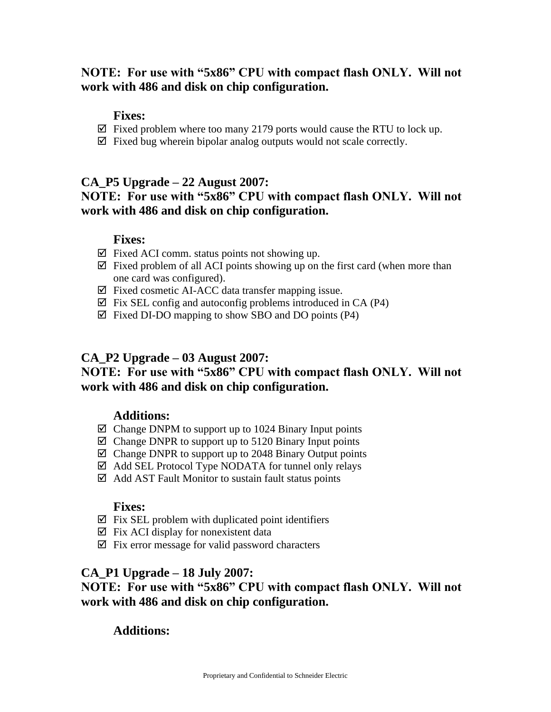# **NOTE: For use with "5x86" CPU with compact flash ONLY. Will not work with 486 and disk on chip configuration.**

### **Fixes:**

- $\boxtimes$  Fixed problem where too many 2179 ports would cause the RTU to lock up.
- $\boxtimes$  Fixed bug wherein bipolar analog outputs would not scale correctly.

# **CA\_P5 Upgrade – 22 August 2007:**

# **NOTE: For use with "5x86" CPU with compact flash ONLY. Will not work with 486 and disk on chip configuration.**

### **Fixes:**

- $\boxtimes$  Fixed ACI comm. status points not showing up.
- $\boxtimes$  Fixed problem of all ACI points showing up on the first card (when more than one card was configured).
- $\boxtimes$  Fixed cosmetic AI-ACC data transfer mapping issue.
- $\boxtimes$  Fix SEL config and autoconfig problems introduced in CA (P4)
- $\boxtimes$  Fixed DI-DO mapping to show SBO and DO points (P4)

## **CA\_P2 Upgrade – 03 August 2007:**

# **NOTE: For use with "5x86" CPU with compact flash ONLY. Will not work with 486 and disk on chip configuration.**

### **Additions:**

- $\boxtimes$  Change DNPM to support up to 1024 Binary Input points
- $\boxtimes$  Change DNPR to support up to 5120 Binary Input points
- $\boxtimes$  Change DNPR to support up to 2048 Binary Output points
- $\boxtimes$  Add SEL Protocol Type NODATA for tunnel only relays
- $\boxtimes$  Add AST Fault Monitor to sustain fault status points

#### **Fixes:**

- $\boxtimes$  Fix SEL problem with duplicated point identifiers
- $\boxtimes$  Fix ACI display for nonexistent data
- $\boxtimes$  Fix error message for valid password characters

### **CA\_P1 Upgrade – 18 July 2007:**

# **NOTE: For use with "5x86" CPU with compact flash ONLY. Will not work with 486 and disk on chip configuration.**

# **Additions:**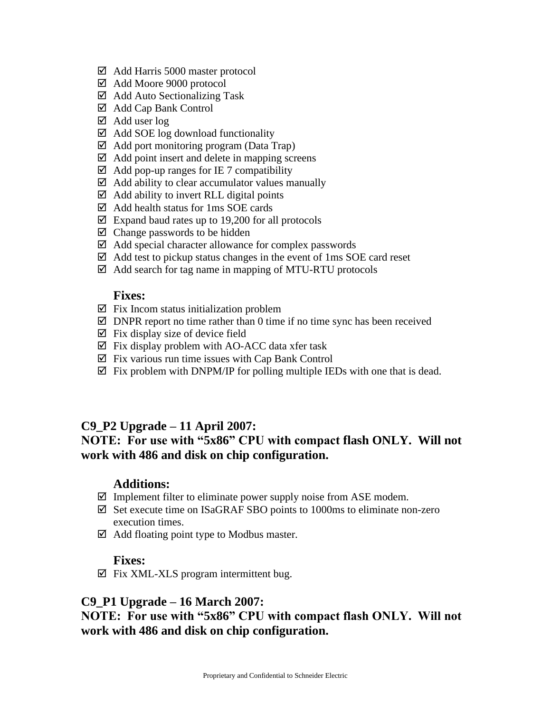- Add Harris 5000 master protocol
- Add Moore 9000 protocol
- $\boxtimes$  Add Auto Sectionalizing Task
- Add Cap Bank Control
- $\boxtimes$  Add user log
- $\boxtimes$  Add SOE log download functionality
- $\boxtimes$  Add port monitoring program (Data Trap)
- $\boxtimes$  Add point insert and delete in mapping screens
- $\boxtimes$  Add pop-up ranges for IE 7 compatibility
- $\boxtimes$  Add ability to clear accumulator values manually
- $\boxtimes$  Add ability to invert RLL digital points
- $\boxtimes$  Add health status for 1ms SOE cards
- $\boxtimes$  Expand baud rates up to 19,200 for all protocols
- $\boxtimes$  Change passwords to be hidden
- $\boxtimes$  Add special character allowance for complex passwords
- $\boxtimes$  Add test to pickup status changes in the event of 1ms SOE card reset
- $\boxtimes$  Add search for tag name in mapping of MTU-RTU protocols

#### **Fixes:**

- $\boxtimes$  Fix Incom status initialization problem
- $\boxtimes$  DNPR report no time rather than 0 time if no time sync has been received
- $\boxtimes$  Fix display size of device field
- $\boxtimes$  Fix display problem with AO-ACC data xfer task
- $\boxtimes$  Fix various run time issues with Cap Bank Control
- $\boxtimes$  Fix problem with DNPM/IP for polling multiple IEDs with one that is dead.

### **C9\_P2 Upgrade – 11 April 2007:**

## **NOTE: For use with "5x86" CPU with compact flash ONLY. Will not work with 486 and disk on chip configuration.**

#### **Additions:**

- $\boxtimes$  Implement filter to eliminate power supply noise from ASE modem.
- $\boxtimes$  Set execute time on ISaGRAF SBO points to 1000ms to eliminate non-zero execution times.
- $\boxtimes$  Add floating point type to Modbus master.

#### **Fixes:**

 $\boxtimes$  Fix XML-XLS program intermittent bug.

#### **C9\_P1 Upgrade – 16 March 2007:**

**NOTE: For use with "5x86" CPU with compact flash ONLY. Will not work with 486 and disk on chip configuration.**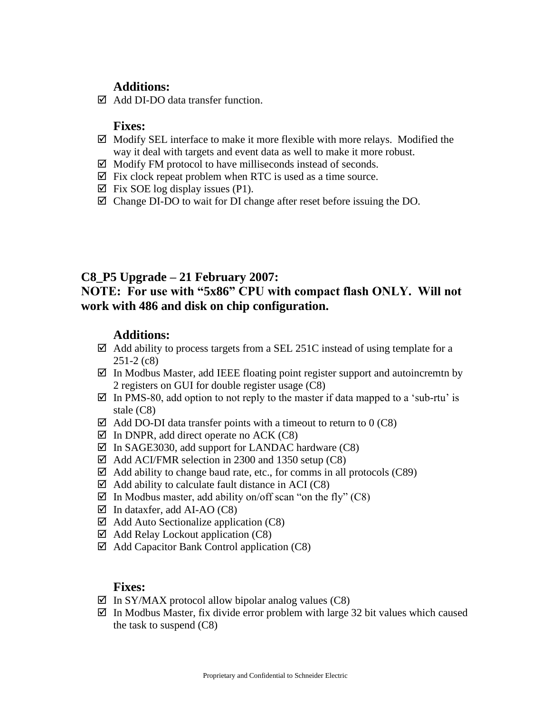## **Additions:**

 $\boxtimes$  Add DI-DO data transfer function.

### **Fixes:**

- $\boxtimes$  Modify SEL interface to make it more flexible with more relays. Modified the way it deal with targets and event data as well to make it more robust.
- $\boxtimes$  Modify FM protocol to have milliseconds instead of seconds.
- $\boxtimes$  Fix clock repeat problem when RTC is used as a time source.
- $\boxtimes$  Fix SOE log display issues (P1).
- $\boxtimes$  Change DI-DO to wait for DI change after reset before issuing the DO.

# **C8\_P5 Upgrade – 21 February 2007:**

# **NOTE: For use with "5x86" CPU with compact flash ONLY. Will not work with 486 and disk on chip configuration.**

## **Additions:**

- $\boxtimes$  Add ability to process targets from a SEL 251C instead of using template for a 251-2 (c8)
- $\boxtimes$  In Modbus Master, add IEEE floating point register support and autoincremtn by 2 registers on GUI for double register usage (C8)
- $\boxtimes$  In PMS-80, add option to not reply to the master if data mapped to a 'sub-rtu' is stale (C8)
- $\boxtimes$  Add DO-DI data transfer points with a timeout to return to 0 (C8)
- $\boxtimes$  In DNPR, add direct operate no ACK (C8)
- $\boxtimes$  In SAGE3030, add support for LANDAC hardware (C8)
- $\boxtimes$  Add ACI/FMR selection in 2300 and 1350 setup (C8)
- $\boxtimes$  Add ability to change baud rate, etc., for comms in all protocols (C89)
- $\boxtimes$  Add ability to calculate fault distance in ACI (C8)
- $\boxtimes$  In Modbus master, add ability on/off scan "on the fly" (C8)
- $\boxtimes$  In dataxfer, add AI-AO (C8)
- $\boxtimes$  Add Auto Sectionalize application (C8)
- $\boxtimes$  Add Relay Lockout application (C8)
- $\boxtimes$  Add Capacitor Bank Control application (C8)

- $\boxtimes$  In SY/MAX protocol allow bipolar analog values (C8)
- $\boxtimes$  In Modbus Master, fix divide error problem with large 32 bit values which caused the task to suspend (C8)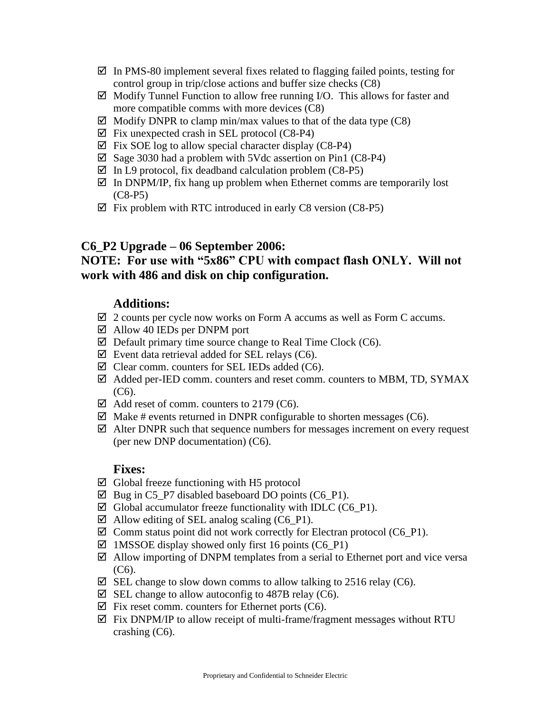- $\boxtimes$  In PMS-80 implement several fixes related to flagging failed points, testing for control group in trip/close actions and buffer size checks (C8)
- $\boxtimes$  Modify Tunnel Function to allow free running I/O. This allows for faster and more compatible comms with more devices (C8)
- $\boxtimes$  Modify DNPR to clamp min/max values to that of the data type (C8)
- $\boxtimes$  Fix unexpected crash in SEL protocol (C8-P4)
- $\boxtimes$  Fix SOE log to allow special character display (C8-P4)
- $\boxtimes$  Sage 3030 had a problem with 5Vdc assertion on Pin1 (C8-P4)
- $\boxtimes$  In L9 protocol, fix deadband calculation problem (C8-P5)
- $\boxtimes$  In DNPM/IP, fix hang up problem when Ethernet comms are temporarily lost (C8-P5)
- $\boxtimes$  Fix problem with RTC introduced in early C8 version (C8-P5)

### **C6\_P2 Upgrade – 06 September 2006:**

# **NOTE: For use with "5x86" CPU with compact flash ONLY. Will not work with 486 and disk on chip configuration.**

### **Additions:**

- $\boxtimes$  2 counts per cycle now works on Form A accums as well as Form C accums.
- $\boxtimes$  Allow 40 IEDs per DNPM port
- $\boxtimes$  Default primary time source change to Real Time Clock (C6).
- $\boxtimes$  Event data retrieval added for SEL relays (C6).
- $\boxtimes$  Clear comm. counters for SEL IEDs added (C6).
- $\boxtimes$  Added per-IED comm. counters and reset comm. counters to MBM, TD, SYMAX  $(C6)$ .
- $\boxtimes$  Add reset of comm. counters to 2179 (C6).
- $\boxtimes$  Make # events returned in DNPR configurable to shorten messages (C6).
- $\boxtimes$  Alter DNPR such that sequence numbers for messages increment on every request (per new DNP documentation) (C6).

- $\boxtimes$  Global freeze functioning with H5 protocol
- $\boxtimes$  Bug in C5 P7 disabled baseboard DO points (C6 P1).
- $\boxtimes$  Global accumulator freeze functionality with IDLC (C6 P1).
- $\boxtimes$  Allow editing of SEL analog scaling (C6\_P1).
- $\boxtimes$  Comm status point did not work correctly for Electran protocol (C6 P1).
- $\boxtimes$  1MSSOE display showed only first 16 points (C6 P1)
- $\boxtimes$  Allow importing of DNPM templates from a serial to Ethernet port and vice versa  $(C6)$ .
- $\boxtimes$  SEL change to slow down comms to allow talking to 2516 relay (C6).
- $\boxtimes$  SEL change to allow autoconfig to 487B relay (C6).
- $\boxtimes$  Fix reset comm. counters for Ethernet ports (C6).
- $\boxtimes$  Fix DNPM/IP to allow receipt of multi-frame/fragment messages without RTU crashing (C6).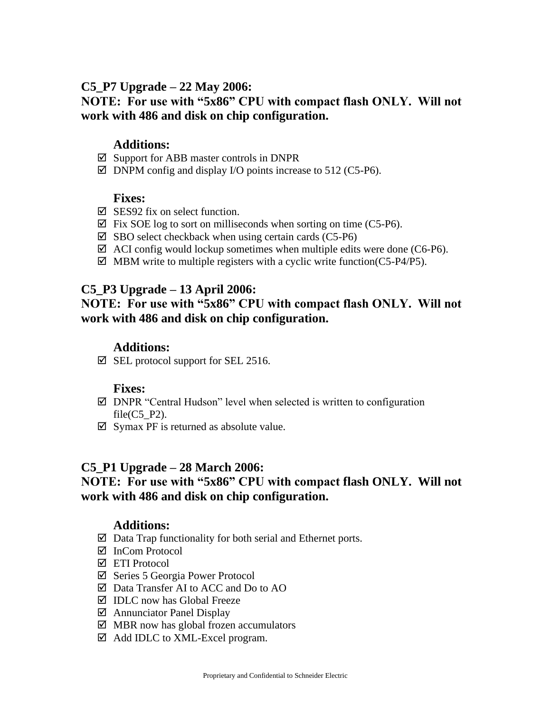## **C5\_P7 Upgrade – 22 May 2006:**

# **NOTE: For use with "5x86" CPU with compact flash ONLY. Will not work with 486 and disk on chip configuration.**

### **Additions:**

- $\boxtimes$  Support for ABB master controls in DNPR
- $\boxtimes$  DNPM config and display I/O points increase to 512 (C5-P6).

### **Fixes:**

- $\nabla$  SES92 fix on select function.
- $\boxtimes$  Fix SOE log to sort on milliseconds when sorting on time (C5-P6).
- $\boxtimes$  SBO select checkback when using certain cards (C5-P6)
- $\boxtimes$  ACI config would lockup sometimes when multiple edits were done (C6-P6).
- $\boxtimes$  MBM write to multiple registers with a cyclic write function(C5-P4/P5).

## **C5\_P3 Upgrade – 13 April 2006:**

# **NOTE: For use with "5x86" CPU with compact flash ONLY. Will not work with 486 and disk on chip configuration.**

### **Additions:**

 $\boxtimes$  SEL protocol support for SEL 2516.

#### **Fixes:**

- $\boxtimes$  DNPR "Central Hudson" level when selected is written to configuration file $(C5$  P2).
- $\boxtimes$  Symax PF is returned as absolute value.

### **C5\_P1 Upgrade – 28 March 2006:**

# **NOTE: For use with "5x86" CPU with compact flash ONLY. Will not work with 486 and disk on chip configuration.**

### **Additions:**

- $\boxtimes$  Data Trap functionality for both serial and Ethernet ports.
- $\overline{M}$  InCom Protocol
- ETI Protocol
- $\boxtimes$  Series 5 Georgia Power Protocol
- Data Transfer AI to ACC and Do to AO
- $\boxtimes$  IDLC now has Global Freeze
- Annunciator Panel Display
- $\boxtimes$  MBR now has global frozen accumulators
- Add IDLC to XML-Excel program.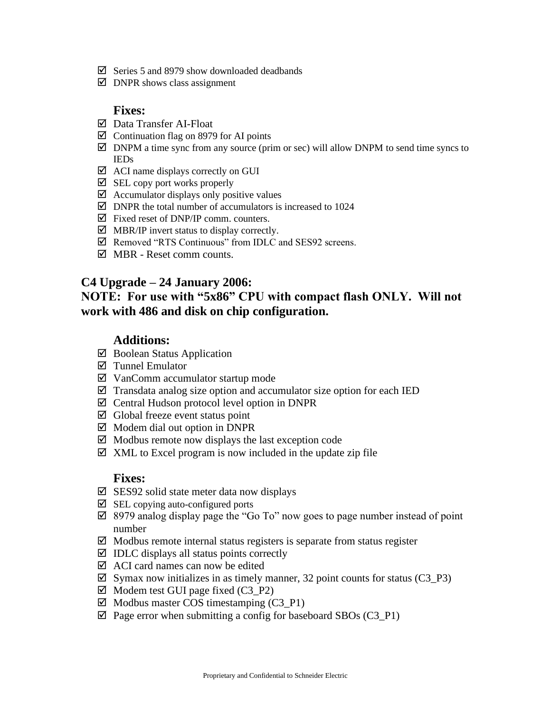- $\boxtimes$  Series 5 and 8979 show downloaded deadbands
- $\boxtimes$  DNPR shows class assignment

#### **Fixes:**

- Data Transfer AI-Float
- $\boxtimes$  Continuation flag on 8979 for AI points
- $\boxtimes$  DNPM a time sync from any source (prim or sec) will allow DNPM to send time syncs to IEDs
- $\boxtimes$  ACI name displays correctly on GUI
- $\boxtimes$  SEL copy port works properly
- $\boxtimes$  Accumulator displays only positive values
- $\boxtimes$  DNPR the total number of accumulators is increased to 1024
- $\boxtimes$  Fixed reset of DNP/IP comm. counters.
- $\boxtimes$  MBR/IP invert status to display correctly.
- $\boxtimes$  Removed "RTS Continuous" from IDLC and SES92 screens.
- $\overline{M}$  MBR Reset comm counts.

### **C4 Upgrade – 24 January 2006:**

# **NOTE: For use with "5x86" CPU with compact flash ONLY. Will not work with 486 and disk on chip configuration.**

### **Additions:**

- $\boxtimes$  Boolean Status Application
- Tunnel Emulator
- $\boxtimes$  VanComm accumulator startup mode
- $\boxtimes$  Transdata analog size option and accumulator size option for each IED
- $\boxtimes$  Central Hudson protocol level option in DNPR
- $\boxtimes$  Global freeze event status point
- $\boxtimes$  Modem dial out option in DNPR
- $\boxtimes$  Modbus remote now displays the last exception code
- $\boxtimes$  XML to Excel program is now included in the update zip file

- $\boxtimes$  SES92 solid state meter data now displays
- $\boxtimes$  SEL copying auto-configured ports
- 8979 analog display page the "Go To" now goes to page number instead of point number
- $\boxtimes$  Modbus remote internal status registers is separate from status register
- $\boxtimes$  IDLC displays all status points correctly
- $\boxtimes$  ACI card names can now be edited
- $\boxtimes$  Symax now initializes in as timely manner, 32 point counts for status (C3\_P3)
- $\boxtimes$  Modem test GUI page fixed (C3\_P2)
- $\boxtimes$  Modbus master COS timestamping (C3\_P1)
- $\boxtimes$  Page error when submitting a config for baseboard SBOs (C3\_P1)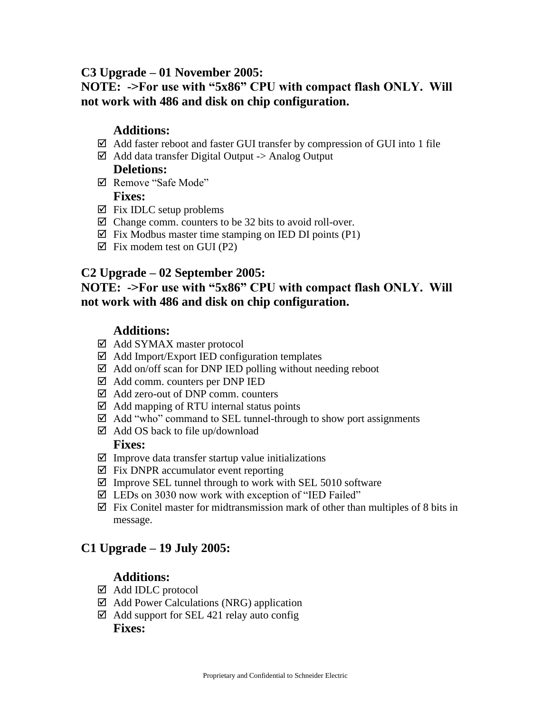### **C3 Upgrade – 01 November 2005:**

# **NOTE: ->For use with "5x86" CPU with compact flash ONLY. Will not work with 486 and disk on chip configuration.**

## **Additions:**

- $\boxtimes$  Add faster reboot and faster GUI transfer by compression of GUI into 1 file
- $\boxtimes$  Add data transfer Digital Output -> Analog Output

# **Deletions:**

- Remove "Safe Mode" **Fixes:**
- $\boxtimes$  Fix IDLC setup problems
- $\boxtimes$  Change comm. counters to be 32 bits to avoid roll-over.
- $\boxtimes$  Fix Modbus master time stamping on IED DI points (P1)
- $\boxtimes$  Fix modem test on GUI (P2)

## **C2 Upgrade – 02 September 2005:**

## **NOTE: ->For use with "5x86" CPU with compact flash ONLY. Will not work with 486 and disk on chip configuration.**

# **Additions:**

- Add SYMAX master protocol
- $\boxtimes$  Add Import/Export IED configuration templates
- $\boxtimes$  Add on/off scan for DNP IED polling without needing reboot
- Add comm. counters per DNP IED
- Add zero-out of DNP comm. counters
- $\boxtimes$  Add mapping of RTU internal status points
- $\boxtimes$  Add "who" command to SEL tunnel-through to show port assignments
- $\boxtimes$  Add OS back to file up/download

#### **Fixes:**

- $\boxtimes$  Improve data transfer startup value initializations
- $\boxtimes$  Fix DNPR accumulator event reporting
- $\boxtimes$  Improve SEL tunnel through to work with SEL 5010 software
- $\boxtimes$  LEDs on 3030 now work with exception of "IED Failed"
- $\boxtimes$  Fix Conitel master for midtransmission mark of other than multiples of 8 bits in message.

# **C1 Upgrade – 19 July 2005:**

# **Additions:**

- Add IDLC protocol
- $\boxtimes$  Add Power Calculations (NRG) application
- $\boxtimes$  Add support for SEL 421 relay auto config